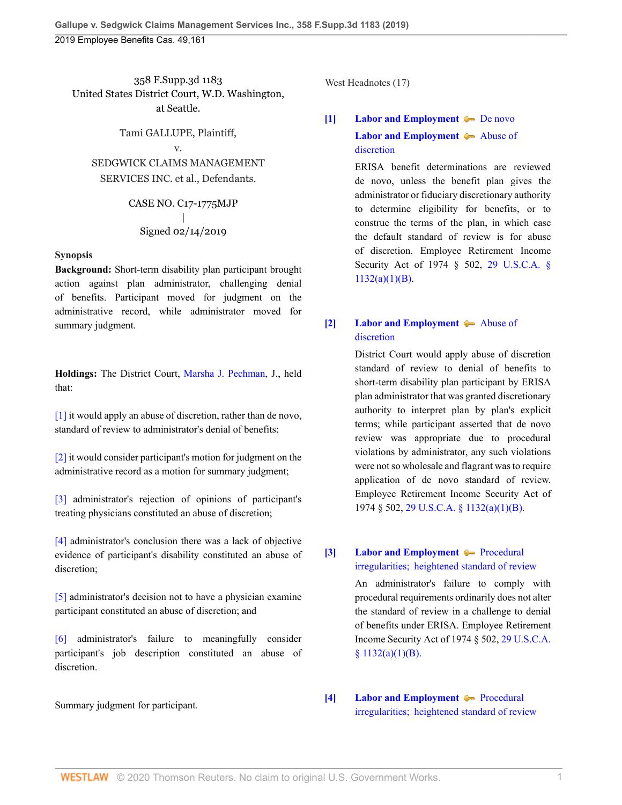358 F.Supp.3d 1183 United States District Court, W.D. Washington, at Seattle.

Tami GALLUPE, Plaintiff, v. SEDGWICK CLAIMS MANAGEMENT SERVICES INC. et al., Defendants.

> CASE NO. C17-1775MJP | Signed 02/14/2019

#### **Synopsis**

**Background:** Short-term disability plan participant brought action against plan administrator, challenging denial of benefits. Participant moved for judgment on the administrative record, while administrator moved for summary judgment.

**Holdings:** The District Court, [Marsha J. Pechman](http://www.westlaw.com/Link/Document/FullText?findType=h&pubNum=176284&cite=0173621901&originatingDoc=I403126e030f311e98335c7ebe72735f9&refType=RQ&originationContext=document&vr=3.0&rs=cblt1.0&transitionType=DocumentItem&contextData=(sc.History*oc.Default)), J., held that:

[\[1\]](#page-0-0) it would apply an abuse of discretion, rather than de novo, standard of review to administrator's denial of benefits;

[\[2\]](#page-1-0) it would consider participant's motion for judgment on the administrative record as a motion for summary judgment;

[\[3\]](#page-2-0) administrator's rejection of opinions of participant's treating physicians constituted an abuse of discretion;

[\[4\]](#page-2-1) administrator's conclusion there was a lack of objective evidence of participant's disability constituted an abuse of discretion;

[\[5\]](#page-2-2) administrator's decision not to have a physician examine participant constituted an abuse of discretion; and

[\[6\]](#page-3-0) administrator's failure to meaningfully consider participant's job description constituted an abuse of discretion.

Summary judgment for participant.

West Headnotes (17)

<span id="page-0-1"></span>**[\[1\]](#page-6-0) [Labor and Employment](http://www.westlaw.com/Browse/Home/KeyNumber/231H/View.html?docGuid=I403126e030f311e98335c7ebe72735f9&originationContext=document&vr=3.0&rs=cblt1.0&transitionType=DocumentItem&contextData=(sc.History*oc.Default)) [De novo](http://www.westlaw.com/Browse/Home/KeyNumber/231Hk686/View.html?docGuid=I403126e030f311e98335c7ebe72735f9&originationContext=document&vr=3.0&rs=cblt1.0&transitionType=DocumentItem&contextData=(sc.History*oc.Default)) [Labor and Employment](http://www.westlaw.com/Browse/Home/KeyNumber/231H/View.html?docGuid=I403126e030f311e98335c7ebe72735f9&originationContext=document&vr=3.0&rs=cblt1.0&transitionType=DocumentItem&contextData=(sc.History*oc.Default))**  $\blacklozenge$  [Abuse of](http://www.westlaw.com/Browse/Home/KeyNumber/231Hk688/View.html?docGuid=I403126e030f311e98335c7ebe72735f9&originationContext=document&vr=3.0&rs=cblt1.0&transitionType=DocumentItem&contextData=(sc.History*oc.Default))

[discretion](http://www.westlaw.com/Browse/Home/KeyNumber/231Hk688/View.html?docGuid=I403126e030f311e98335c7ebe72735f9&originationContext=document&vr=3.0&rs=cblt1.0&transitionType=DocumentItem&contextData=(sc.History*oc.Default))

ERISA benefit determinations are reviewed de novo, unless the benefit plan gives the administrator or fiduciary discretionary authority to determine eligibility for benefits, or to construe the terms of the plan, in which case the default standard of review is for abuse of discretion. Employee Retirement Income Security Act of 1974 § 502, [29 U.S.C.A. §](http://www.westlaw.com/Link/Document/FullText?findType=L&pubNum=1000546&cite=29USCAS1132&originatingDoc=I403126e030f311e98335c7ebe72735f9&refType=SP&originationContext=document&vr=3.0&rs=cblt1.0&transitionType=DocumentItem&contextData=(sc.History*oc.Default)#co_pp_50660000823d1) [1132\(a\)\(1\)\(B\)](http://www.westlaw.com/Link/Document/FullText?findType=L&pubNum=1000546&cite=29USCAS1132&originatingDoc=I403126e030f311e98335c7ebe72735f9&refType=SP&originationContext=document&vr=3.0&rs=cblt1.0&transitionType=DocumentItem&contextData=(sc.History*oc.Default)#co_pp_50660000823d1).

## <span id="page-0-0"></span>**[\[2\]](#page-6-1) [Labor and Employment](http://www.westlaw.com/Browse/Home/KeyNumber/231H/View.html?docGuid=I403126e030f311e98335c7ebe72735f9&originationContext=document&vr=3.0&rs=cblt1.0&transitionType=DocumentItem&contextData=(sc.History*oc.Default))**  $\blacktriangleright$  [Abuse of](http://www.westlaw.com/Browse/Home/KeyNumber/231Hk688/View.html?docGuid=I403126e030f311e98335c7ebe72735f9&originationContext=document&vr=3.0&rs=cblt1.0&transitionType=DocumentItem&contextData=(sc.History*oc.Default)) [discretion](http://www.westlaw.com/Browse/Home/KeyNumber/231Hk688/View.html?docGuid=I403126e030f311e98335c7ebe72735f9&originationContext=document&vr=3.0&rs=cblt1.0&transitionType=DocumentItem&contextData=(sc.History*oc.Default))

District Court would apply abuse of discretion standard of review to denial of benefits to short-term disability plan participant by ERISA plan administrator that was granted discretionary authority to interpret plan by plan's explicit terms; while participant asserted that de novo review was appropriate due to procedural violations by administrator, any such violations were not so wholesale and flagrant was to require application of de novo standard of review. Employee Retirement Income Security Act of 1974 § 502, [29 U.S.C.A. § 1132\(a\)\(1\)\(B\)](http://www.westlaw.com/Link/Document/FullText?findType=L&pubNum=1000546&cite=29USCAS1132&originatingDoc=I403126e030f311e98335c7ebe72735f9&refType=SP&originationContext=document&vr=3.0&rs=cblt1.0&transitionType=DocumentItem&contextData=(sc.History*oc.Default)#co_pp_50660000823d1).

<span id="page-0-2"></span>**[\[3\]](#page-6-2) [Labor and Employment](http://www.westlaw.com/Browse/Home/KeyNumber/231H/View.html?docGuid=I403126e030f311e98335c7ebe72735f9&originationContext=document&vr=3.0&rs=cblt1.0&transitionType=DocumentItem&contextData=(sc.History*oc.Default))**  $\blacklozenge$  [Procedural](http://www.westlaw.com/Browse/Home/KeyNumber/231Hk689/View.html?docGuid=I403126e030f311e98335c7ebe72735f9&originationContext=document&vr=3.0&rs=cblt1.0&transitionType=DocumentItem&contextData=(sc.History*oc.Default)) [irregularities;  heightened standard of review](http://www.westlaw.com/Browse/Home/KeyNumber/231Hk689/View.html?docGuid=I403126e030f311e98335c7ebe72735f9&originationContext=document&vr=3.0&rs=cblt1.0&transitionType=DocumentItem&contextData=(sc.History*oc.Default))

> An administrator's failure to comply with procedural requirements ordinarily does not alter the standard of review in a challenge to denial of benefits under ERISA. Employee Retirement Income Security Act of 1974 § 502, [29 U.S.C.A.](http://www.westlaw.com/Link/Document/FullText?findType=L&pubNum=1000546&cite=29USCAS1132&originatingDoc=I403126e030f311e98335c7ebe72735f9&refType=SP&originationContext=document&vr=3.0&rs=cblt1.0&transitionType=DocumentItem&contextData=(sc.History*oc.Default)#co_pp_50660000823d1)  $§ 1132(a)(1)(B).$

<span id="page-0-3"></span>**[\[4\]](#page-6-3) [Labor and Employment](http://www.westlaw.com/Browse/Home/KeyNumber/231H/View.html?docGuid=I403126e030f311e98335c7ebe72735f9&originationContext=document&vr=3.0&rs=cblt1.0&transitionType=DocumentItem&contextData=(sc.History*oc.Default))**  $\blacklozenge$  [Procedural](http://www.westlaw.com/Browse/Home/KeyNumber/231Hk689/View.html?docGuid=I403126e030f311e98335c7ebe72735f9&originationContext=document&vr=3.0&rs=cblt1.0&transitionType=DocumentItem&contextData=(sc.History*oc.Default)) [irregularities;  heightened standard of review](http://www.westlaw.com/Browse/Home/KeyNumber/231Hk689/View.html?docGuid=I403126e030f311e98335c7ebe72735f9&originationContext=document&vr=3.0&rs=cblt1.0&transitionType=DocumentItem&contextData=(sc.History*oc.Default))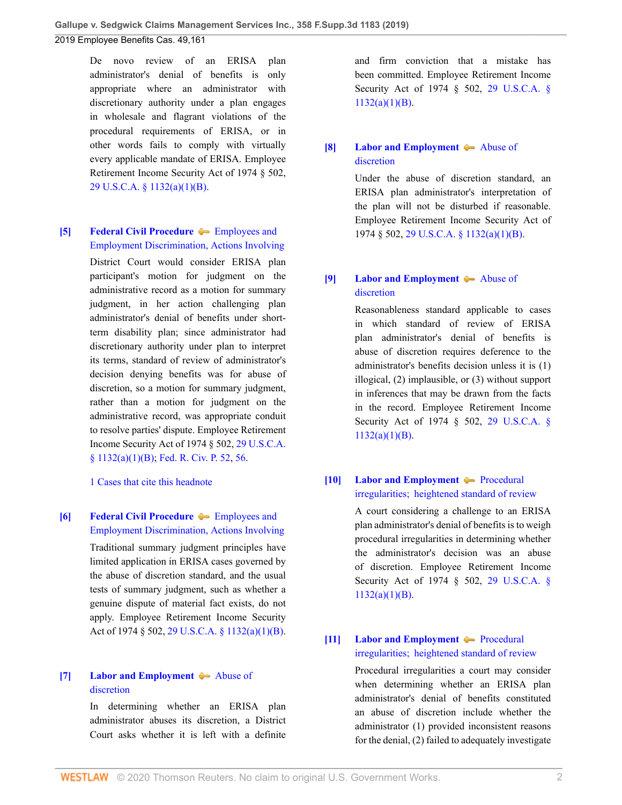De novo review of an ERISA plan administrator's denial of benefits is only appropriate where an administrator with discretionary authority under a plan engages in wholesale and flagrant violations of the procedural requirements of ERISA, or in other words fails to comply with virtually every applicable mandate of ERISA. Employee Retirement Income Security Act of 1974 § 502, [29 U.S.C.A. § 1132\(a\)\(1\)\(B\)](http://www.westlaw.com/Link/Document/FullText?findType=L&pubNum=1000546&cite=29USCAS1132&originatingDoc=I403126e030f311e98335c7ebe72735f9&refType=SP&originationContext=document&vr=3.0&rs=cblt1.0&transitionType=DocumentItem&contextData=(sc.History*oc.Default)#co_pp_50660000823d1).

### <span id="page-1-0"></span>**[\[5\]](#page-6-4) [Federal Civil Procedure](http://www.westlaw.com/Browse/Home/KeyNumber/170A/View.html?docGuid=I403126e030f311e98335c7ebe72735f9&originationContext=document&vr=3.0&rs=cblt1.0&transitionType=DocumentItem&contextData=(sc.History*oc.Default))**  $\blacklozenge$  **[Employees and](http://www.westlaw.com/Browse/Home/KeyNumber/170Ak2497/View.html?docGuid=I403126e030f311e98335c7ebe72735f9&originationContext=document&vr=3.0&rs=cblt1.0&transitionType=DocumentItem&contextData=(sc.History*oc.Default))** [Employment Discrimination, Actions Involving](http://www.westlaw.com/Browse/Home/KeyNumber/170Ak2497/View.html?docGuid=I403126e030f311e98335c7ebe72735f9&originationContext=document&vr=3.0&rs=cblt1.0&transitionType=DocumentItem&contextData=(sc.History*oc.Default))

District Court would consider ERISA plan participant's motion for judgment on the administrative record as a motion for summary judgment, in her action challenging plan administrator's denial of benefits under shortterm disability plan; since administrator had discretionary authority under plan to interpret its terms, standard of review of administrator's decision denying benefits was for abuse of discretion, so a motion for summary judgment, rather than a motion for judgment on the administrative record, was appropriate conduit to resolve parties' dispute. Employee Retirement Income Security Act of 1974 § 502, [29 U.S.C.A.](http://www.westlaw.com/Link/Document/FullText?findType=L&pubNum=1000546&cite=29USCAS1132&originatingDoc=I403126e030f311e98335c7ebe72735f9&refType=SP&originationContext=document&vr=3.0&rs=cblt1.0&transitionType=DocumentItem&contextData=(sc.History*oc.Default)#co_pp_50660000823d1) [§ 1132\(a\)\(1\)\(B\);](http://www.westlaw.com/Link/Document/FullText?findType=L&pubNum=1000546&cite=29USCAS1132&originatingDoc=I403126e030f311e98335c7ebe72735f9&refType=SP&originationContext=document&vr=3.0&rs=cblt1.0&transitionType=DocumentItem&contextData=(sc.History*oc.Default)#co_pp_50660000823d1) [Fed. R. Civ. P. 52,](http://www.westlaw.com/Link/Document/FullText?findType=L&pubNum=1000600&cite=USFRCPR52&originatingDoc=I403126e030f311e98335c7ebe72735f9&refType=LQ&originationContext=document&vr=3.0&rs=cblt1.0&transitionType=DocumentItem&contextData=(sc.History*oc.Default)) [56.](http://www.westlaw.com/Link/Document/FullText?findType=L&pubNum=1000600&cite=USFRCPR56&originatingDoc=I403126e030f311e98335c7ebe72735f9&refType=LQ&originationContext=document&vr=3.0&rs=cblt1.0&transitionType=DocumentItem&contextData=(sc.History*oc.Default))

[1 Cases that cite this headnote](http://www.westlaw.com/Link/RelatedInformation/DocHeadnoteLink?docGuid=I403126e030f311e98335c7ebe72735f9&headnoteId=204754394600520200522150303&originationContext=document&vr=3.0&rs=cblt1.0&transitionType=CitingReferences&contextData=(sc.History*oc.Default))

# <span id="page-1-1"></span>**[\[6\]](#page-6-5) [Federal Civil Procedure](http://www.westlaw.com/Browse/Home/KeyNumber/170A/View.html?docGuid=I403126e030f311e98335c7ebe72735f9&originationContext=document&vr=3.0&rs=cblt1.0&transitionType=DocumentItem&contextData=(sc.History*oc.Default))** in [Employees and](http://www.westlaw.com/Browse/Home/KeyNumber/170Ak2497/View.html?docGuid=I403126e030f311e98335c7ebe72735f9&originationContext=document&vr=3.0&rs=cblt1.0&transitionType=DocumentItem&contextData=(sc.History*oc.Default)) [Employment Discrimination, Actions Involving](http://www.westlaw.com/Browse/Home/KeyNumber/170Ak2497/View.html?docGuid=I403126e030f311e98335c7ebe72735f9&originationContext=document&vr=3.0&rs=cblt1.0&transitionType=DocumentItem&contextData=(sc.History*oc.Default)) Traditional summary judgment principles have limited application in ERISA cases governed by the abuse of discretion standard, and the usual tests of summary judgment, such as whether a genuine dispute of material fact exists, do not apply. Employee Retirement Income Security Act of 1974 § 502, [29 U.S.C.A. § 1132\(a\)\(1\)\(B\)](http://www.westlaw.com/Link/Document/FullText?findType=L&pubNum=1000546&cite=29USCAS1132&originatingDoc=I403126e030f311e98335c7ebe72735f9&refType=SP&originationContext=document&vr=3.0&rs=cblt1.0&transitionType=DocumentItem&contextData=(sc.History*oc.Default)#co_pp_50660000823d1).

## <span id="page-1-2"></span>**[\[7\]](#page-7-0) [Labor and Employment](http://www.westlaw.com/Browse/Home/KeyNumber/231H/View.html?docGuid=I403126e030f311e98335c7ebe72735f9&originationContext=document&vr=3.0&rs=cblt1.0&transitionType=DocumentItem&contextData=(sc.History*oc.Default))**  $\blacklozenge$  **[Abuse of](http://www.westlaw.com/Browse/Home/KeyNumber/231Hk688/View.html?docGuid=I403126e030f311e98335c7ebe72735f9&originationContext=document&vr=3.0&rs=cblt1.0&transitionType=DocumentItem&contextData=(sc.History*oc.Default))** [discretion](http://www.westlaw.com/Browse/Home/KeyNumber/231Hk688/View.html?docGuid=I403126e030f311e98335c7ebe72735f9&originationContext=document&vr=3.0&rs=cblt1.0&transitionType=DocumentItem&contextData=(sc.History*oc.Default))

In determining whether an ERISA plan administrator abuses its discretion, a District Court asks whether it is left with a definite and firm conviction that a mistake has been committed. Employee Retirement Income Security Act of 1974 § 502, [29 U.S.C.A. §](http://www.westlaw.com/Link/Document/FullText?findType=L&pubNum=1000546&cite=29USCAS1132&originatingDoc=I403126e030f311e98335c7ebe72735f9&refType=SP&originationContext=document&vr=3.0&rs=cblt1.0&transitionType=DocumentItem&contextData=(sc.History*oc.Default)#co_pp_50660000823d1)  $1132(a)(1)(B)$ .

## <span id="page-1-3"></span>**[\[8\]](#page-7-1) [Labor and Employment](http://www.westlaw.com/Browse/Home/KeyNumber/231H/View.html?docGuid=I403126e030f311e98335c7ebe72735f9&originationContext=document&vr=3.0&rs=cblt1.0&transitionType=DocumentItem&contextData=(sc.History*oc.Default))**  $\blacklozenge$  **[Abuse of](http://www.westlaw.com/Browse/Home/KeyNumber/231Hk688/View.html?docGuid=I403126e030f311e98335c7ebe72735f9&originationContext=document&vr=3.0&rs=cblt1.0&transitionType=DocumentItem&contextData=(sc.History*oc.Default))** [discretion](http://www.westlaw.com/Browse/Home/KeyNumber/231Hk688/View.html?docGuid=I403126e030f311e98335c7ebe72735f9&originationContext=document&vr=3.0&rs=cblt1.0&transitionType=DocumentItem&contextData=(sc.History*oc.Default))

Under the abuse of discretion standard, an ERISA plan administrator's interpretation of the plan will not be disturbed if reasonable. Employee Retirement Income Security Act of 1974 § 502, [29 U.S.C.A. § 1132\(a\)\(1\)\(B\)](http://www.westlaw.com/Link/Document/FullText?findType=L&pubNum=1000546&cite=29USCAS1132&originatingDoc=I403126e030f311e98335c7ebe72735f9&refType=SP&originationContext=document&vr=3.0&rs=cblt1.0&transitionType=DocumentItem&contextData=(sc.History*oc.Default)#co_pp_50660000823d1).

### <span id="page-1-4"></span>**[\[9\]](#page-7-2) [Labor and Employment](http://www.westlaw.com/Browse/Home/KeyNumber/231H/View.html?docGuid=I403126e030f311e98335c7ebe72735f9&originationContext=document&vr=3.0&rs=cblt1.0&transitionType=DocumentItem&contextData=(sc.History*oc.Default))**  $\blacklozenge$  [Abuse of](http://www.westlaw.com/Browse/Home/KeyNumber/231Hk688/View.html?docGuid=I403126e030f311e98335c7ebe72735f9&originationContext=document&vr=3.0&rs=cblt1.0&transitionType=DocumentItem&contextData=(sc.History*oc.Default)) [discretion](http://www.westlaw.com/Browse/Home/KeyNumber/231Hk688/View.html?docGuid=I403126e030f311e98335c7ebe72735f9&originationContext=document&vr=3.0&rs=cblt1.0&transitionType=DocumentItem&contextData=(sc.History*oc.Default))

Reasonableness standard applicable to cases in which standard of review of ERISA plan administrator's denial of benefits is abuse of discretion requires deference to the administrator's benefits decision unless it is (1) illogical, (2) implausible, or (3) without support in inferences that may be drawn from the facts in the record. Employee Retirement Income Security Act of 1974 § 502, [29 U.S.C.A. §](http://www.westlaw.com/Link/Document/FullText?findType=L&pubNum=1000546&cite=29USCAS1132&originatingDoc=I403126e030f311e98335c7ebe72735f9&refType=SP&originationContext=document&vr=3.0&rs=cblt1.0&transitionType=DocumentItem&contextData=(sc.History*oc.Default)#co_pp_50660000823d1) [1132\(a\)\(1\)\(B\)](http://www.westlaw.com/Link/Document/FullText?findType=L&pubNum=1000546&cite=29USCAS1132&originatingDoc=I403126e030f311e98335c7ebe72735f9&refType=SP&originationContext=document&vr=3.0&rs=cblt1.0&transitionType=DocumentItem&contextData=(sc.History*oc.Default)#co_pp_50660000823d1).

### <span id="page-1-5"></span>**[\[10\]](#page-7-3) [Labor and Employment](http://www.westlaw.com/Browse/Home/KeyNumber/231H/View.html?docGuid=I403126e030f311e98335c7ebe72735f9&originationContext=document&vr=3.0&rs=cblt1.0&transitionType=DocumentItem&contextData=(sc.History*oc.Default)) [Procedural](http://www.westlaw.com/Browse/Home/KeyNumber/231Hk689/View.html?docGuid=I403126e030f311e98335c7ebe72735f9&originationContext=document&vr=3.0&rs=cblt1.0&transitionType=DocumentItem&contextData=(sc.History*oc.Default))** [irregularities;  heightened standard of review](http://www.westlaw.com/Browse/Home/KeyNumber/231Hk689/View.html?docGuid=I403126e030f311e98335c7ebe72735f9&originationContext=document&vr=3.0&rs=cblt1.0&transitionType=DocumentItem&contextData=(sc.History*oc.Default))

A court considering a challenge to an ERISA plan administrator's denial of benefits is to weigh procedural irregularities in determining whether the administrator's decision was an abuse of discretion. Employee Retirement Income Security Act of 1974 § 502, [29 U.S.C.A. §](http://www.westlaw.com/Link/Document/FullText?findType=L&pubNum=1000546&cite=29USCAS1132&originatingDoc=I403126e030f311e98335c7ebe72735f9&refType=SP&originationContext=document&vr=3.0&rs=cblt1.0&transitionType=DocumentItem&contextData=(sc.History*oc.Default)#co_pp_50660000823d1)  $1132(a)(1)(B)$ .

### <span id="page-1-6"></span>**[\[11\]](#page-7-4) [Labor and Employment](http://www.westlaw.com/Browse/Home/KeyNumber/231H/View.html?docGuid=I403126e030f311e98335c7ebe72735f9&originationContext=document&vr=3.0&rs=cblt1.0&transitionType=DocumentItem&contextData=(sc.History*oc.Default)) [Procedural](http://www.westlaw.com/Browse/Home/KeyNumber/231Hk689/View.html?docGuid=I403126e030f311e98335c7ebe72735f9&originationContext=document&vr=3.0&rs=cblt1.0&transitionType=DocumentItem&contextData=(sc.History*oc.Default))** [irregularities;  heightened standard of review](http://www.westlaw.com/Browse/Home/KeyNumber/231Hk689/View.html?docGuid=I403126e030f311e98335c7ebe72735f9&originationContext=document&vr=3.0&rs=cblt1.0&transitionType=DocumentItem&contextData=(sc.History*oc.Default))

Procedural irregularities a court may consider when determining whether an ERISA plan administrator's denial of benefits constituted an abuse of discretion include whether the administrator (1) provided inconsistent reasons for the denial, (2) failed to adequately investigate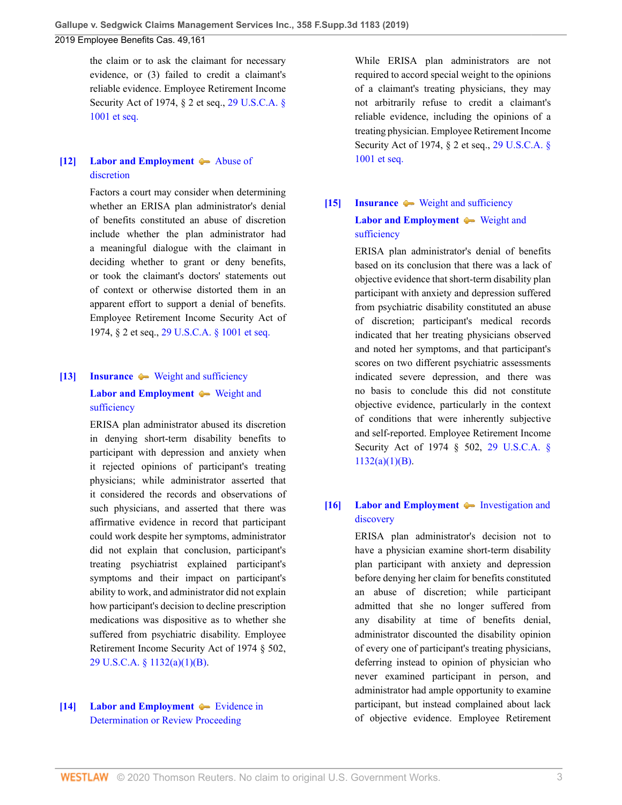the claim or to ask the claimant for necessary evidence, or (3) failed to credit a claimant's reliable evidence. Employee Retirement Income Security Act of 1974, § 2 et seq., [29 U.S.C.A. §](http://www.westlaw.com/Link/Document/FullText?findType=L&pubNum=1000546&cite=29USCAS1001&originatingDoc=I403126e030f311e98335c7ebe72735f9&refType=LQ&originationContext=document&vr=3.0&rs=cblt1.0&transitionType=DocumentItem&contextData=(sc.History*oc.Default)) [1001 et seq.](http://www.westlaw.com/Link/Document/FullText?findType=L&pubNum=1000546&cite=29USCAS1001&originatingDoc=I403126e030f311e98335c7ebe72735f9&refType=LQ&originationContext=document&vr=3.0&rs=cblt1.0&transitionType=DocumentItem&contextData=(sc.History*oc.Default))

## <span id="page-2-3"></span>**[\[12\]](#page-7-5) [Labor and Employment](http://www.westlaw.com/Browse/Home/KeyNumber/231H/View.html?docGuid=I403126e030f311e98335c7ebe72735f9&originationContext=document&vr=3.0&rs=cblt1.0&transitionType=DocumentItem&contextData=(sc.History*oc.Default))**  $\blacklozenge$  **[Abuse of](http://www.westlaw.com/Browse/Home/KeyNumber/231Hk688/View.html?docGuid=I403126e030f311e98335c7ebe72735f9&originationContext=document&vr=3.0&rs=cblt1.0&transitionType=DocumentItem&contextData=(sc.History*oc.Default))** [discretion](http://www.westlaw.com/Browse/Home/KeyNumber/231Hk688/View.html?docGuid=I403126e030f311e98335c7ebe72735f9&originationContext=document&vr=3.0&rs=cblt1.0&transitionType=DocumentItem&contextData=(sc.History*oc.Default))

Factors a court may consider when determining whether an ERISA plan administrator's denial of benefits constituted an abuse of discretion include whether the plan administrator had a meaningful dialogue with the claimant in deciding whether to grant or deny benefits, or took the claimant's doctors' statements out of context or otherwise distorted them in an apparent effort to support a denial of benefits. Employee Retirement Income Security Act of 1974, § 2 et seq., [29 U.S.C.A. § 1001 et seq.](http://www.westlaw.com/Link/Document/FullText?findType=L&pubNum=1000546&cite=29USCAS1001&originatingDoc=I403126e030f311e98335c7ebe72735f9&refType=LQ&originationContext=document&vr=3.0&rs=cblt1.0&transitionType=DocumentItem&contextData=(sc.History*oc.Default))

# <span id="page-2-0"></span>**[\[13\]](#page-7-6) [Insurance](http://www.westlaw.com/Browse/Home/KeyNumber/217/View.html?docGuid=I403126e030f311e98335c7ebe72735f9&originationContext=document&vr=3.0&rs=cblt1.0&transitionType=DocumentItem&contextData=(sc.History*oc.Default))**  $\blacktriangleright$  [Weight and sufficiency](http://www.westlaw.com/Browse/Home/KeyNumber/217k2578/View.html?docGuid=I403126e030f311e98335c7ebe72735f9&originationContext=document&vr=3.0&rs=cblt1.0&transitionType=DocumentItem&contextData=(sc.History*oc.Default)) **[Labor and Employment](http://www.westlaw.com/Browse/Home/KeyNumber/231H/View.html?docGuid=I403126e030f311e98335c7ebe72735f9&originationContext=document&vr=3.0&rs=cblt1.0&transitionType=DocumentItem&contextData=(sc.History*oc.Default))**  $\blacklozenge$  [Weight and](http://www.westlaw.com/Browse/Home/KeyNumber/231Hk629(2)/View.html?docGuid=I403126e030f311e98335c7ebe72735f9&originationContext=document&vr=3.0&rs=cblt1.0&transitionType=DocumentItem&contextData=(sc.History*oc.Default)) [sufficiency](http://www.westlaw.com/Browse/Home/KeyNumber/231Hk629(2)/View.html?docGuid=I403126e030f311e98335c7ebe72735f9&originationContext=document&vr=3.0&rs=cblt1.0&transitionType=DocumentItem&contextData=(sc.History*oc.Default))

ERISA plan administrator abused its discretion in denying short-term disability benefits to participant with depression and anxiety when it rejected opinions of participant's treating physicians; while administrator asserted that it considered the records and observations of such physicians, and asserted that there was affirmative evidence in record that participant could work despite her symptoms, administrator did not explain that conclusion, participant's treating psychiatrist explained participant's symptoms and their impact on participant's ability to work, and administrator did not explain how participant's decision to decline prescription medications was dispositive as to whether she suffered from psychiatric disability. Employee Retirement Income Security Act of 1974 § 502, [29 U.S.C.A. § 1132\(a\)\(1\)\(B\)](http://www.westlaw.com/Link/Document/FullText?findType=L&pubNum=1000546&cite=29USCAS1132&originatingDoc=I403126e030f311e98335c7ebe72735f9&refType=SP&originationContext=document&vr=3.0&rs=cblt1.0&transitionType=DocumentItem&contextData=(sc.History*oc.Default)#co_pp_50660000823d1).

### <span id="page-2-4"></span>**[\[14\]](#page-7-7) [Labor and Employment](http://www.westlaw.com/Browse/Home/KeyNumber/231H/View.html?docGuid=I403126e030f311e98335c7ebe72735f9&originationContext=document&vr=3.0&rs=cblt1.0&transitionType=DocumentItem&contextData=(sc.History*oc.Default)) [Evidence in](http://www.westlaw.com/Browse/Home/KeyNumber/231Hk627/View.html?docGuid=I403126e030f311e98335c7ebe72735f9&originationContext=document&vr=3.0&rs=cblt1.0&transitionType=DocumentItem&contextData=(sc.History*oc.Default))** [Determination or Review Proceeding](http://www.westlaw.com/Browse/Home/KeyNumber/231Hk627/View.html?docGuid=I403126e030f311e98335c7ebe72735f9&originationContext=document&vr=3.0&rs=cblt1.0&transitionType=DocumentItem&contextData=(sc.History*oc.Default))

While ERISA plan administrators are not required to accord special weight to the opinions of a claimant's treating physicians, they may not arbitrarily refuse to credit a claimant's reliable evidence, including the opinions of a treating physician. Employee Retirement Income Security Act of 1974, § 2 et seq., [29 U.S.C.A. §](http://www.westlaw.com/Link/Document/FullText?findType=L&pubNum=1000546&cite=29USCAS1001&originatingDoc=I403126e030f311e98335c7ebe72735f9&refType=LQ&originationContext=document&vr=3.0&rs=cblt1.0&transitionType=DocumentItem&contextData=(sc.History*oc.Default)) [1001 et seq.](http://www.westlaw.com/Link/Document/FullText?findType=L&pubNum=1000546&cite=29USCAS1001&originatingDoc=I403126e030f311e98335c7ebe72735f9&refType=LQ&originationContext=document&vr=3.0&rs=cblt1.0&transitionType=DocumentItem&contextData=(sc.History*oc.Default))

# <span id="page-2-1"></span>**[\[15\]](#page-8-0) [Insurance](http://www.westlaw.com/Browse/Home/KeyNumber/217/View.html?docGuid=I403126e030f311e98335c7ebe72735f9&originationContext=document&vr=3.0&rs=cblt1.0&transitionType=DocumentItem&contextData=(sc.History*oc.Default))**  $\blacklozenge$  **[Weight and sufficiency](http://www.westlaw.com/Browse/Home/KeyNumber/217k2578/View.html?docGuid=I403126e030f311e98335c7ebe72735f9&originationContext=document&vr=3.0&rs=cblt1.0&transitionType=DocumentItem&contextData=(sc.History*oc.Default)) [Labor and Employment](http://www.westlaw.com/Browse/Home/KeyNumber/231H/View.html?docGuid=I403126e030f311e98335c7ebe72735f9&originationContext=document&vr=3.0&rs=cblt1.0&transitionType=DocumentItem&contextData=(sc.History*oc.Default)) •** [Weight and](http://www.westlaw.com/Browse/Home/KeyNumber/231Hk629(2)/View.html?docGuid=I403126e030f311e98335c7ebe72735f9&originationContext=document&vr=3.0&rs=cblt1.0&transitionType=DocumentItem&contextData=(sc.History*oc.Default)) [sufficiency](http://www.westlaw.com/Browse/Home/KeyNumber/231Hk629(2)/View.html?docGuid=I403126e030f311e98335c7ebe72735f9&originationContext=document&vr=3.0&rs=cblt1.0&transitionType=DocumentItem&contextData=(sc.History*oc.Default))

ERISA plan administrator's denial of benefits based on its conclusion that there was a lack of objective evidence that short-term disability plan participant with anxiety and depression suffered from psychiatric disability constituted an abuse of discretion; participant's medical records indicated that her treating physicians observed and noted her symptoms, and that participant's scores on two different psychiatric assessments indicated severe depression, and there was no basis to conclude this did not constitute objective evidence, particularly in the context of conditions that were inherently subjective and self-reported. Employee Retirement Income Security Act of 1974 § 502, [29 U.S.C.A. §](http://www.westlaw.com/Link/Document/FullText?findType=L&pubNum=1000546&cite=29USCAS1132&originatingDoc=I403126e030f311e98335c7ebe72735f9&refType=SP&originationContext=document&vr=3.0&rs=cblt1.0&transitionType=DocumentItem&contextData=(sc.History*oc.Default)#co_pp_50660000823d1)  $1132(a)(1)(B)$ .

## <span id="page-2-2"></span>**[\[16\]](#page-8-1) [Labor and Employment](http://www.westlaw.com/Browse/Home/KeyNumber/231H/View.html?docGuid=I403126e030f311e98335c7ebe72735f9&originationContext=document&vr=3.0&rs=cblt1.0&transitionType=DocumentItem&contextData=(sc.History*oc.Default))**  $\blacklozenge$  **[Investigation and](http://www.westlaw.com/Browse/Home/KeyNumber/231Hk616/View.html?docGuid=I403126e030f311e98335c7ebe72735f9&originationContext=document&vr=3.0&rs=cblt1.0&transitionType=DocumentItem&contextData=(sc.History*oc.Default))** [discovery](http://www.westlaw.com/Browse/Home/KeyNumber/231Hk616/View.html?docGuid=I403126e030f311e98335c7ebe72735f9&originationContext=document&vr=3.0&rs=cblt1.0&transitionType=DocumentItem&contextData=(sc.History*oc.Default))

ERISA plan administrator's decision not to have a physician examine short-term disability plan participant with anxiety and depression before denying her claim for benefits constituted an abuse of discretion; while participant admitted that she no longer suffered from any disability at time of benefits denial, administrator discounted the disability opinion of every one of participant's treating physicians, deferring instead to opinion of physician who never examined participant in person, and administrator had ample opportunity to examine participant, but instead complained about lack of objective evidence. Employee Retirement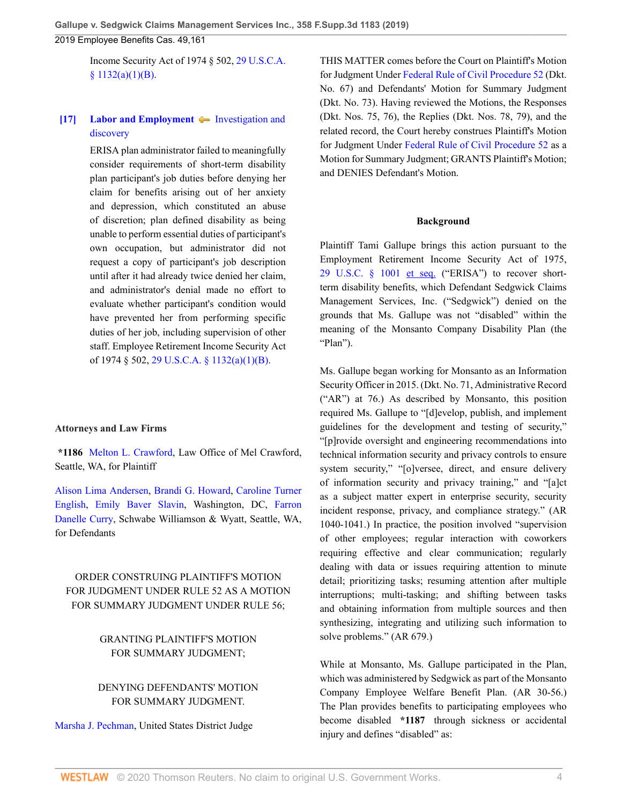Income Security Act of 1974 § 502, [29 U.S.C.A.](http://www.westlaw.com/Link/Document/FullText?findType=L&pubNum=1000546&cite=29USCAS1132&originatingDoc=I403126e030f311e98335c7ebe72735f9&refType=SP&originationContext=document&vr=3.0&rs=cblt1.0&transitionType=DocumentItem&contextData=(sc.History*oc.Default)#co_pp_50660000823d1)  $§ 1132(a)(1)(B).$ 

## <span id="page-3-0"></span>**[\[17\]](#page-9-0) [Labor and Employment](http://www.westlaw.com/Browse/Home/KeyNumber/231H/View.html?docGuid=I403126e030f311e98335c7ebe72735f9&originationContext=document&vr=3.0&rs=cblt1.0&transitionType=DocumentItem&contextData=(sc.History*oc.Default))**  $\blacklozenge$  **[Investigation and](http://www.westlaw.com/Browse/Home/KeyNumber/231Hk616/View.html?docGuid=I403126e030f311e98335c7ebe72735f9&originationContext=document&vr=3.0&rs=cblt1.0&transitionType=DocumentItem&contextData=(sc.History*oc.Default))** [discovery](http://www.westlaw.com/Browse/Home/KeyNumber/231Hk616/View.html?docGuid=I403126e030f311e98335c7ebe72735f9&originationContext=document&vr=3.0&rs=cblt1.0&transitionType=DocumentItem&contextData=(sc.History*oc.Default))

ERISA plan administrator failed to meaningfully consider requirements of short-term disability plan participant's job duties before denying her claim for benefits arising out of her anxiety and depression, which constituted an abuse of discretion; plan defined disability as being unable to perform essential duties of participant's own occupation, but administrator did not request a copy of participant's job description until after it had already twice denied her claim, and administrator's denial made no effort to evaluate whether participant's condition would have prevented her from performing specific duties of her job, including supervision of other staff. Employee Retirement Income Security Act of 1974 § 502, [29 U.S.C.A. § 1132\(a\)\(1\)\(B\)](http://www.westlaw.com/Link/Document/FullText?findType=L&pubNum=1000546&cite=29USCAS1132&originatingDoc=I403126e030f311e98335c7ebe72735f9&refType=SP&originationContext=document&vr=3.0&rs=cblt1.0&transitionType=DocumentItem&contextData=(sc.History*oc.Default)#co_pp_50660000823d1).

### **Attorneys and Law Firms**

**\*1186** [Melton L. Crawford,](http://www.westlaw.com/Link/Document/FullText?findType=h&pubNum=176284&cite=0168090501&originatingDoc=I403126e030f311e98335c7ebe72735f9&refType=RQ&originationContext=document&vr=3.0&rs=cblt1.0&transitionType=DocumentItem&contextData=(sc.History*oc.Default)) Law Office of Mel Crawford, Seattle, WA, for Plaintiff

[Alison Lima Andersen](http://www.westlaw.com/Link/Document/FullText?findType=h&pubNum=176284&cite=0430273901&originatingDoc=I403126e030f311e98335c7ebe72735f9&refType=RQ&originationContext=document&vr=3.0&rs=cblt1.0&transitionType=DocumentItem&contextData=(sc.History*oc.Default)), [Brandi G. Howard](http://www.westlaw.com/Link/Document/FullText?findType=h&pubNum=176284&cite=0507640301&originatingDoc=I403126e030f311e98335c7ebe72735f9&refType=RQ&originationContext=document&vr=3.0&rs=cblt1.0&transitionType=DocumentItem&contextData=(sc.History*oc.Default)), [Caroline Turner](http://www.westlaw.com/Link/Document/FullText?findType=h&pubNum=176284&cite=0292499201&originatingDoc=I403126e030f311e98335c7ebe72735f9&refType=RQ&originationContext=document&vr=3.0&rs=cblt1.0&transitionType=DocumentItem&contextData=(sc.History*oc.Default)) [English,](http://www.westlaw.com/Link/Document/FullText?findType=h&pubNum=176284&cite=0292499201&originatingDoc=I403126e030f311e98335c7ebe72735f9&refType=RQ&originationContext=document&vr=3.0&rs=cblt1.0&transitionType=DocumentItem&contextData=(sc.History*oc.Default)) [Emily Baver Slavin](http://www.westlaw.com/Link/Document/FullText?findType=h&pubNum=176284&cite=0490274299&originatingDoc=I403126e030f311e98335c7ebe72735f9&refType=RQ&originationContext=document&vr=3.0&rs=cblt1.0&transitionType=DocumentItem&contextData=(sc.History*oc.Default)), Washington, DC, [Farron](http://www.westlaw.com/Link/Document/FullText?findType=h&pubNum=176284&cite=0425362201&originatingDoc=I403126e030f311e98335c7ebe72735f9&refType=RQ&originationContext=document&vr=3.0&rs=cblt1.0&transitionType=DocumentItem&contextData=(sc.History*oc.Default)) [Danelle Curry,](http://www.westlaw.com/Link/Document/FullText?findType=h&pubNum=176284&cite=0425362201&originatingDoc=I403126e030f311e98335c7ebe72735f9&refType=RQ&originationContext=document&vr=3.0&rs=cblt1.0&transitionType=DocumentItem&contextData=(sc.History*oc.Default)) Schwabe Williamson & Wyatt, Seattle, WA, for Defendants

## ORDER CONSTRUING PLAINTIFF'S MOTION FOR JUDGMENT UNDER RULE 52 AS A MOTION FOR SUMMARY JUDGMENT UNDER RULE 56;

## GRANTING PLAINTIFF'S MOTION FOR SUMMARY JUDGMENT;

### DENYING DEFENDANTS' MOTION FOR SUMMARY JUDGMENT.

[Marsha J. Pechman,](http://www.westlaw.com/Link/Document/FullText?findType=h&pubNum=176284&cite=0173621901&originatingDoc=I403126e030f311e98335c7ebe72735f9&refType=RQ&originationContext=document&vr=3.0&rs=cblt1.0&transitionType=DocumentItem&contextData=(sc.History*oc.Default)) United States District Judge

THIS MATTER comes before the Court on Plaintiff's Motion for Judgment Under [Federal Rule of Civil Procedure 52](http://www.westlaw.com/Link/Document/FullText?findType=L&pubNum=1000600&cite=USFRCPR52&originatingDoc=I403126e030f311e98335c7ebe72735f9&refType=LQ&originationContext=document&vr=3.0&rs=cblt1.0&transitionType=DocumentItem&contextData=(sc.History*oc.Default)) (Dkt. No. 67) and Defendants' Motion for Summary Judgment (Dkt. No. 73). Having reviewed the Motions, the Responses (Dkt. Nos. 75, 76), the Replies (Dkt. Nos. 78, 79), and the related record, the Court hereby construes Plaintiff's Motion for Judgment Under [Federal Rule of Civil Procedure 52](http://www.westlaw.com/Link/Document/FullText?findType=L&pubNum=1000600&cite=USFRCPR52&originatingDoc=I403126e030f311e98335c7ebe72735f9&refType=LQ&originationContext=document&vr=3.0&rs=cblt1.0&transitionType=DocumentItem&contextData=(sc.History*oc.Default)) as a Motion for Summary Judgment; GRANTS Plaintiff's Motion; and DENIES Defendant's Motion.

#### **Background**

Plaintiff Tami Gallupe brings this action pursuant to the Employment Retirement Income Security Act of 1975, [29 U.S.C. § 1001 et seq.](http://www.westlaw.com/Link/Document/FullText?findType=L&pubNum=1000546&cite=29USCAS1001&originatingDoc=I403126e030f311e98335c7ebe72735f9&refType=LQ&originationContext=document&vr=3.0&rs=cblt1.0&transitionType=DocumentItem&contextData=(sc.History*oc.Default)) ("ERISA") to recover shortterm disability benefits, which Defendant Sedgwick Claims Management Services, Inc. ("Sedgwick") denied on the grounds that Ms. Gallupe was not "disabled" within the meaning of the Monsanto Company Disability Plan (the "Plan").

Ms. Gallupe began working for Monsanto as an Information Security Officer in 2015. (Dkt. No. 71, Administrative Record ("AR") at 76.) As described by Monsanto, this position required Ms. Gallupe to "[d]evelop, publish, and implement guidelines for the development and testing of security," "[p]rovide oversight and engineering recommendations into technical information security and privacy controls to ensure system security," "[o]versee, direct, and ensure delivery of information security and privacy training," and "[a]ct as a subject matter expert in enterprise security, security incident response, privacy, and compliance strategy." (AR 1040-1041.) In practice, the position involved "supervision of other employees; regular interaction with coworkers requiring effective and clear communication; regularly dealing with data or issues requiring attention to minute detail; prioritizing tasks; resuming attention after multiple interruptions; multi-tasking; and shifting between tasks and obtaining information from multiple sources and then synthesizing, integrating and utilizing such information to solve problems." (AR 679.)

While at Monsanto, Ms. Gallupe participated in the Plan, which was administered by Sedgwick as part of the Monsanto Company Employee Welfare Benefit Plan. (AR 30-56.) The Plan provides benefits to participating employees who become disabled **\*1187** through sickness or accidental injury and defines "disabled" as: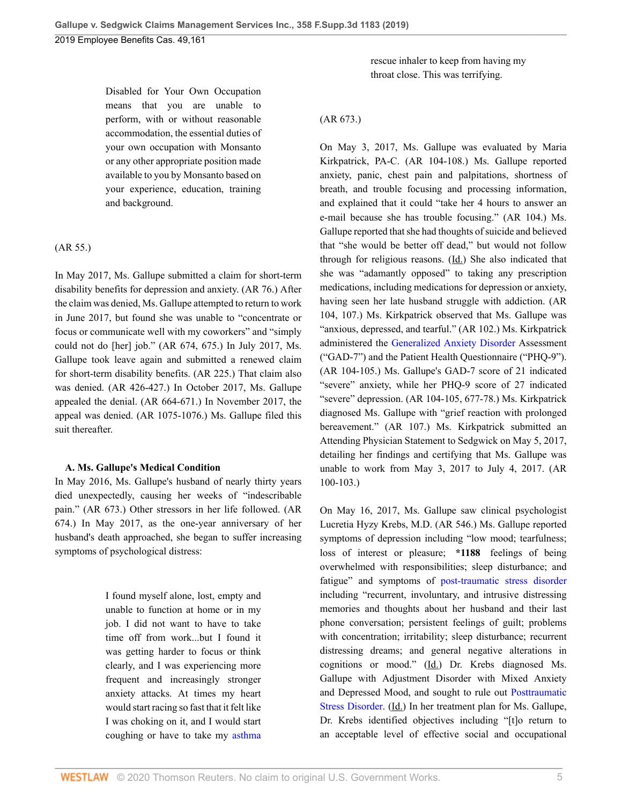Disabled for Your Own Occupation means that you are unable to perform, with or without reasonable accommodation, the essential duties of your own occupation with Monsanto or any other appropriate position made available to you by Monsanto based on your experience, education, training and background.

(AR 55.)

In May 2017, Ms. Gallupe submitted a claim for short-term disability benefits for depression and anxiety. (AR 76.) After the claim was denied, Ms. Gallupe attempted to return to work in June 2017, but found she was unable to "concentrate or focus or communicate well with my coworkers" and "simply could not do [her] job." (AR 674, 675.) In July 2017, Ms. Gallupe took leave again and submitted a renewed claim for short-term disability benefits. (AR 225.) That claim also was denied. (AR 426-427.) In October 2017, Ms. Gallupe appealed the denial. (AR 664-671.) In November 2017, the appeal was denied. (AR 1075-1076.) Ms. Gallupe filed this suit thereafter.

#### **A. Ms. Gallupe's Medical Condition**

In May 2016, Ms. Gallupe's husband of nearly thirty years died unexpectedly, causing her weeks of "indescribable pain." (AR 673.) Other stressors in her life followed. (AR 674.) In May 2017, as the one-year anniversary of her husband's death approached, she began to suffer increasing symptoms of psychological distress:

> I found myself alone, lost, empty and unable to function at home or in my job. I did not want to have to take time off from work...but I found it was getting harder to focus or think clearly, and I was experiencing more frequent and increasingly stronger anxiety attacks. At times my heart would start racing so fast that it felt like I was choking on it, and I would start coughing or have to take my [asthma](http://www.westlaw.com/Link/Document/FullText?entityType=disease&entityId=Iab17a50f475411db9765f9243f53508a&originationContext=document&transitionType=DocumentItem&contextData=(sc.Default)&vr=3.0&rs=cblt1.0)

rescue inhaler to keep from having my throat close. This was terrifying.

#### (AR 673.)

On May 3, 2017, Ms. Gallupe was evaluated by Maria Kirkpatrick, PA-C. (AR 104-108.) Ms. Gallupe reported anxiety, panic, chest pain and palpitations, shortness of breath, and trouble focusing and processing information, and explained that it could "take her 4 hours to answer an e-mail because she has trouble focusing." (AR 104.) Ms. Gallupe reported that she had thoughts of suicide and believed that "she would be better off dead," but would not follow through for religious reasons.  $(\underline{Id})$  She also indicated that she was "adamantly opposed" to taking any prescription medications, including medications for depression or anxiety, having seen her late husband struggle with addiction. (AR 104, 107.) Ms. Kirkpatrick observed that Ms. Gallupe was "anxious, depressed, and tearful." (AR 102.) Ms. Kirkpatrick administered the [Generalized Anxiety Disorder](http://www.westlaw.com/Link/Document/FullText?entityType=disease&entityId=Ibebc7bf1475411db9765f9243f53508a&originationContext=document&transitionType=DocumentItem&contextData=(sc.Default)&vr=3.0&rs=cblt1.0) Assessment ("GAD-7") and the Patient Health Questionnaire ("PHQ-9"). (AR 104-105.) Ms. Gallupe's GAD-7 score of 21 indicated "severe" anxiety, while her PHQ-9 score of 27 indicated "severe" depression. (AR 104-105, 677-78.) Ms. Kirkpatrick diagnosed Ms. Gallupe with "grief reaction with prolonged bereavement." (AR 107.) Ms. Kirkpatrick submitted an Attending Physician Statement to Sedgwick on May 5, 2017, detailing her findings and certifying that Ms. Gallupe was unable to work from May 3, 2017 to July 4, 2017. (AR 100-103.)

On May 16, 2017, Ms. Gallupe saw clinical psychologist Lucretia Hyzy Krebs, M.D. (AR 546.) Ms. Gallupe reported symptoms of depression including "low mood; tearfulness; loss of interest or pleasure; **\*1188** feelings of being overwhelmed with responsibilities; sleep disturbance; and fatigue" and symptoms of [post-traumatic stress disorder](http://www.westlaw.com/Link/Document/FullText?entityType=disease&entityId=Ia99c9de5475411db9765f9243f53508a&originationContext=document&transitionType=DocumentItem&contextData=(sc.Default)&vr=3.0&rs=cblt1.0) including "recurrent, involuntary, and intrusive distressing memories and thoughts about her husband and their last phone conversation; persistent feelings of guilt; problems with concentration; irritability; sleep disturbance; recurrent distressing dreams; and general negative alterations in cognitions or mood." (Id.) Dr. Krebs diagnosed Ms. Gallupe with Adjustment Disorder with Mixed Anxiety and Depressed Mood, and sought to rule out [Posttraumatic](http://www.westlaw.com/Link/Document/FullText?entityType=disease&entityId=Ia99c9de5475411db9765f9243f53508a&originationContext=document&transitionType=DocumentItem&contextData=(sc.Default)&vr=3.0&rs=cblt1.0) [Stress Disorder.](http://www.westlaw.com/Link/Document/FullText?entityType=disease&entityId=Ia99c9de5475411db9765f9243f53508a&originationContext=document&transitionType=DocumentItem&contextData=(sc.Default)&vr=3.0&rs=cblt1.0) (Id.) In her treatment plan for Ms. Gallupe, Dr. Krebs identified objectives including "[t]o return to an acceptable level of effective social and occupational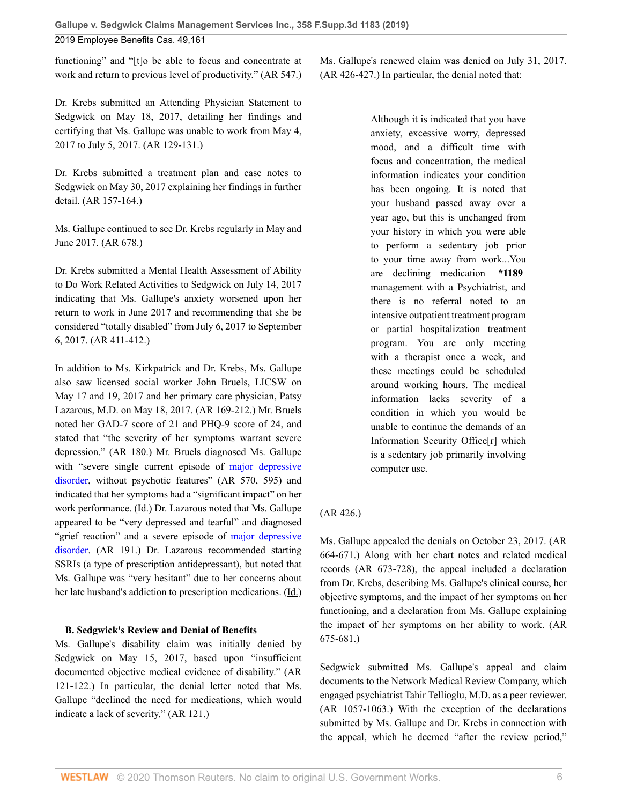functioning" and "[t]o be able to focus and concentrate at work and return to previous level of productivity." (AR 547.)

Dr. Krebs submitted an Attending Physician Statement to Sedgwick on May 18, 2017, detailing her findings and certifying that Ms. Gallupe was unable to work from May 4, 2017 to July 5, 2017. (AR 129-131.)

Dr. Krebs submitted a treatment plan and case notes to Sedgwick on May 30, 2017 explaining her findings in further detail. (AR 157-164.)

Ms. Gallupe continued to see Dr. Krebs regularly in May and June 2017. (AR 678.)

Dr. Krebs submitted a Mental Health Assessment of Ability to Do Work Related Activities to Sedgwick on July 14, 2017 indicating that Ms. Gallupe's anxiety worsened upon her return to work in June 2017 and recommending that she be considered "totally disabled" from July 6, 2017 to September 6, 2017. (AR 411-412.)

In addition to Ms. Kirkpatrick and Dr. Krebs, Ms. Gallupe also saw licensed social worker John Bruels, LICSW on May 17 and 19, 2017 and her primary care physician, Patsy Lazarous, M.D. on May 18, 2017. (AR 169-212.) Mr. Bruels noted her GAD-7 score of 21 and PHQ-9 score of 24, and stated that "the severity of her symptoms warrant severe depression." (AR 180.) Mr. Bruels diagnosed Ms. Gallupe with "severe single current episode of [major depressive](http://www.westlaw.com/Link/Document/FullText?entityType=disease&entityId=Ib7c7c836475411db9765f9243f53508a&originationContext=document&transitionType=DocumentItem&contextData=(sc.Default)&vr=3.0&rs=cblt1.0) [disorder,](http://www.westlaw.com/Link/Document/FullText?entityType=disease&entityId=Ib7c7c836475411db9765f9243f53508a&originationContext=document&transitionType=DocumentItem&contextData=(sc.Default)&vr=3.0&rs=cblt1.0) without psychotic features" (AR 570, 595) and indicated that her symptoms had a "significant impact" on her work performance. (Id.) Dr. Lazarous noted that Ms. Gallupe appeared to be "very depressed and tearful" and diagnosed "grief reaction" and a severe episode of [major depressive](http://www.westlaw.com/Link/Document/FullText?entityType=disease&entityId=Ib7c7c836475411db9765f9243f53508a&originationContext=document&transitionType=DocumentItem&contextData=(sc.Default)&vr=3.0&rs=cblt1.0) [disorder.](http://www.westlaw.com/Link/Document/FullText?entityType=disease&entityId=Ib7c7c836475411db9765f9243f53508a&originationContext=document&transitionType=DocumentItem&contextData=(sc.Default)&vr=3.0&rs=cblt1.0) (AR 191.) Dr. Lazarous recommended starting SSRIs (a type of prescription antidepressant), but noted that Ms. Gallupe was "very hesitant" due to her concerns about her late husband's addiction to prescription medications. (Id.)

### **B. Sedgwick's Review and Denial of Benefits**

Ms. Gallupe's disability claim was initially denied by Sedgwick on May 15, 2017, based upon "insufficient" documented objective medical evidence of disability." (AR 121-122.) In particular, the denial letter noted that Ms. Gallupe "declined the need for medications, which would indicate a lack of severity." (AR 121.)

Ms. Gallupe's renewed claim was denied on July 31, 2017. (AR 426-427.) In particular, the denial noted that:

> Although it is indicated that you have anxiety, excessive worry, depressed mood, and a difficult time with focus and concentration, the medical information indicates your condition has been ongoing. It is noted that your husband passed away over a year ago, but this is unchanged from your history in which you were able to perform a sedentary job prior to your time away from work...You are declining medication **\*1189** management with a Psychiatrist, and there is no referral noted to an intensive outpatient treatment program or partial hospitalization treatment program. You are only meeting with a therapist once a week, and these meetings could be scheduled around working hours. The medical information lacks severity of a condition in which you would be unable to continue the demands of an Information Security Office[r] which is a sedentary job primarily involving computer use.

### (AR 426.)

Ms. Gallupe appealed the denials on October 23, 2017. (AR 664-671.) Along with her chart notes and related medical records (AR 673-728), the appeal included a declaration from Dr. Krebs, describing Ms. Gallupe's clinical course, her objective symptoms, and the impact of her symptoms on her functioning, and a declaration from Ms. Gallupe explaining the impact of her symptoms on her ability to work. (AR 675-681.)

Sedgwick submitted Ms. Gallupe's appeal and claim documents to the Network Medical Review Company, which engaged psychiatrist Tahir Tellioglu, M.D. as a peer reviewer. (AR 1057-1063.) With the exception of the declarations submitted by Ms. Gallupe and Dr. Krebs in connection with the appeal, which he deemed "after the review period,"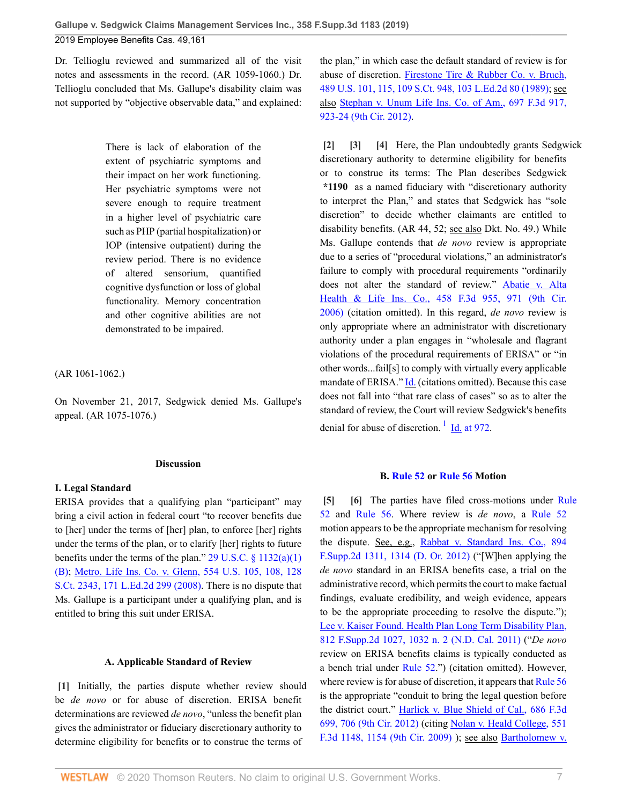Dr. Tellioglu reviewed and summarized all of the visit notes and assessments in the record. (AR 1059-1060.) Dr. Tellioglu concluded that Ms. Gallupe's disability claim was

2019 Employee Benefits Cas. 49,161

**Gallupe v. Sedgwick Claims Management Services Inc., 358 F.Supp.3d 1183 (2019)**

There is lack of elaboration of the extent of psychiatric symptoms and their impact on her work functioning. Her psychiatric symptoms were not severe enough to require treatment in a higher level of psychiatric care such as PHP (partial hospitalization) or IOP (intensive outpatient) during the review period. There is no evidence of altered sensorium, quantified cognitive dysfunction or loss of global functionality. Memory concentration and other cognitive abilities are not demonstrated to be impaired.

not supported by "objective observable data," and explained:

(AR 1061-1062.)

On November 21, 2017, Sedgwick denied Ms. Gallupe's appeal. (AR 1075-1076.)

### **Discussion**

### **I. Legal Standard**

ERISA provides that a qualifying plan "participant" may bring a civil action in federal court "to recover benefits due to [her] under the terms of [her] plan, to enforce [her] rights under the terms of the plan, or to clarify [her] rights to future benefits under the terms of the plan."  $29 \text{ U.S.C.} \$ §  $1132(a)(1)$ [\(B\)](http://www.westlaw.com/Link/Document/FullText?findType=L&pubNum=1000546&cite=29USCAS1132&originatingDoc=I403126e030f311e98335c7ebe72735f9&refType=RB&originationContext=document&vr=3.0&rs=cblt1.0&transitionType=DocumentItem&contextData=(sc.History*oc.Default)#co_pp_50660000823d1); [Metro. Life Ins. Co. v. Glenn, 554 U.S. 105, 108, 128](http://www.westlaw.com/Link/Document/FullText?findType=Y&serNum=2016336257&pubNum=0000780&originatingDoc=I403126e030f311e98335c7ebe72735f9&refType=RP&fi=co_pp_sp_780_108&originationContext=document&vr=3.0&rs=cblt1.0&transitionType=DocumentItem&contextData=(sc.History*oc.Default)#co_pp_sp_780_108) [S.Ct. 2343, 171 L.Ed.2d 299 \(2008\)](http://www.westlaw.com/Link/Document/FullText?findType=Y&serNum=2016336257&pubNum=0000780&originatingDoc=I403126e030f311e98335c7ebe72735f9&refType=RP&fi=co_pp_sp_780_108&originationContext=document&vr=3.0&rs=cblt1.0&transitionType=DocumentItem&contextData=(sc.History*oc.Default)#co_pp_sp_780_108). There is no dispute that Ms. Gallupe is a participant under a qualifying plan, and is entitled to bring this suit under ERISA.

**A. Applicable Standard of Review**

<span id="page-6-0"></span>**[\[1\]](#page-0-1)** Initially, the parties dispute whether review should

gives the administrator or fiduciary discretionary authority to determine eligibility for benefits or to construe the terms of the plan," in which case the default standard of review is for abuse of discretion. [Firestone Tire & Rubber Co. v. Bruch,](http://www.westlaw.com/Link/Document/FullText?findType=Y&serNum=1989026578&pubNum=0000780&originatingDoc=I403126e030f311e98335c7ebe72735f9&refType=RP&fi=co_pp_sp_780_115&originationContext=document&vr=3.0&rs=cblt1.0&transitionType=DocumentItem&contextData=(sc.History*oc.Default)#co_pp_sp_780_115) [489 U.S. 101, 115, 109 S.Ct. 948, 103 L.Ed.2d 80 \(1989\)](http://www.westlaw.com/Link/Document/FullText?findType=Y&serNum=1989026578&pubNum=0000780&originatingDoc=I403126e030f311e98335c7ebe72735f9&refType=RP&fi=co_pp_sp_780_115&originationContext=document&vr=3.0&rs=cblt1.0&transitionType=DocumentItem&contextData=(sc.History*oc.Default)#co_pp_sp_780_115); see also [Stephan v. Unum Life Ins. Co. of Am., 697 F.3d 917,](http://www.westlaw.com/Link/Document/FullText?findType=Y&serNum=2028595066&pubNum=0000506&originatingDoc=I403126e030f311e98335c7ebe72735f9&refType=RP&fi=co_pp_sp_506_923&originationContext=document&vr=3.0&rs=cblt1.0&transitionType=DocumentItem&contextData=(sc.History*oc.Default)#co_pp_sp_506_923) [923-24 \(9th Cir. 2012\).](http://www.westlaw.com/Link/Document/FullText?findType=Y&serNum=2028595066&pubNum=0000506&originatingDoc=I403126e030f311e98335c7ebe72735f9&refType=RP&fi=co_pp_sp_506_923&originationContext=document&vr=3.0&rs=cblt1.0&transitionType=DocumentItem&contextData=(sc.History*oc.Default)#co_pp_sp_506_923)

<span id="page-6-3"></span><span id="page-6-2"></span><span id="page-6-1"></span>**[\[2\]](#page-0-0) [\[3\]](#page-0-2) [\[4\]](#page-0-3)** Here, the Plan undoubtedly grants Sedgwick discretionary authority to determine eligibility for benefits or to construe its terms: The Plan describes Sedgwick **\*1190** as a named fiduciary with "discretionary authority to interpret the Plan," and states that Sedgwick has "sole discretion" to decide whether claimants are entitled to disability benefits. (AR 44, 52; see also Dkt. No. 49.) While Ms. Gallupe contends that *de novo* review is appropriate due to a series of "procedural violations," an administrator's failure to comply with procedural requirements "ordinarily does not alter the standard of review." [Abatie v. Alta](http://www.westlaw.com/Link/Document/FullText?findType=Y&serNum=2009728490&pubNum=0000506&originatingDoc=I403126e030f311e98335c7ebe72735f9&refType=RP&fi=co_pp_sp_506_971&originationContext=document&vr=3.0&rs=cblt1.0&transitionType=DocumentItem&contextData=(sc.History*oc.Default)#co_pp_sp_506_971) [Health & Life Ins. Co., 458 F.3d 955, 971 \(9th Cir.](http://www.westlaw.com/Link/Document/FullText?findType=Y&serNum=2009728490&pubNum=0000506&originatingDoc=I403126e030f311e98335c7ebe72735f9&refType=RP&fi=co_pp_sp_506_971&originationContext=document&vr=3.0&rs=cblt1.0&transitionType=DocumentItem&contextData=(sc.History*oc.Default)#co_pp_sp_506_971) [2006\)](http://www.westlaw.com/Link/Document/FullText?findType=Y&serNum=2009728490&pubNum=0000506&originatingDoc=I403126e030f311e98335c7ebe72735f9&refType=RP&fi=co_pp_sp_506_971&originationContext=document&vr=3.0&rs=cblt1.0&transitionType=DocumentItem&contextData=(sc.History*oc.Default)#co_pp_sp_506_971) (citation omitted). In this regard, *de novo* review is only appropriate where an administrator with discretionary authority under a plan engages in "wholesale and flagrant violations of the procedural requirements of ERISA" or "in other words...fail[s] to comply with virtually every applicable mandate of ERISA." [Id.](http://www.westlaw.com/Link/Document/FullText?findType=Y&serNum=2009728490&pubNum=0000506&originatingDoc=I403126e030f311e98335c7ebe72735f9&refType=RP&originationContext=document&vr=3.0&rs=cblt1.0&transitionType=DocumentItem&contextData=(sc.History*oc.Default)) (citations omitted). Because this case does not fall into "that rare class of cases" so as to alter the standard of review, the Court will review Sedgwick's benefits denial for abuse of discretion.  $1 \underline{Id}$  $1 \underline{Id}$  at 972.

### <span id="page-6-6"></span><span id="page-6-5"></span>**B. [Rule 52](http://www.westlaw.com/Link/Document/FullText?findType=L&pubNum=1000600&cite=USFRCPR52&originatingDoc=I403126e030f311e98335c7ebe72735f9&refType=LQ&originationContext=document&vr=3.0&rs=cblt1.0&transitionType=DocumentItem&contextData=(sc.History*oc.Default)) or [Rule 56](http://www.westlaw.com/Link/Document/FullText?findType=L&pubNum=1000600&cite=USFRCPR56&originatingDoc=I403126e030f311e98335c7ebe72735f9&refType=LQ&originationContext=document&vr=3.0&rs=cblt1.0&transitionType=DocumentItem&contextData=(sc.History*oc.Default)) Motion**

<span id="page-6-4"></span>**[\[5\]](#page-1-0) [\[6\]](#page-1-1)** The parties have filed cross-motions under [Rule](http://www.westlaw.com/Link/Document/FullText?findType=L&pubNum=1000600&cite=USFRCPR52&originatingDoc=I403126e030f311e98335c7ebe72735f9&refType=LQ&originationContext=document&vr=3.0&rs=cblt1.0&transitionType=DocumentItem&contextData=(sc.History*oc.Default)) [52](http://www.westlaw.com/Link/Document/FullText?findType=L&pubNum=1000600&cite=USFRCPR52&originatingDoc=I403126e030f311e98335c7ebe72735f9&refType=LQ&originationContext=document&vr=3.0&rs=cblt1.0&transitionType=DocumentItem&contextData=(sc.History*oc.Default)) and [Rule 56](http://www.westlaw.com/Link/Document/FullText?findType=L&pubNum=1000600&cite=USFRCPR56&originatingDoc=I403126e030f311e98335c7ebe72735f9&refType=LQ&originationContext=document&vr=3.0&rs=cblt1.0&transitionType=DocumentItem&contextData=(sc.History*oc.Default)). Where review is *de novo*, a [Rule 52](http://www.westlaw.com/Link/Document/FullText?findType=L&pubNum=1000600&cite=USFRCPR52&originatingDoc=I403126e030f311e98335c7ebe72735f9&refType=LQ&originationContext=document&vr=3.0&rs=cblt1.0&transitionType=DocumentItem&contextData=(sc.History*oc.Default)) motion appears to be the appropriate mechanism for resolving the dispute. See, e.g., [Rabbat v. Standard Ins. Co., 894](http://www.westlaw.com/Link/Document/FullText?findType=Y&serNum=2028757653&pubNum=0004637&originatingDoc=I403126e030f311e98335c7ebe72735f9&refType=RP&fi=co_pp_sp_4637_1314&originationContext=document&vr=3.0&rs=cblt1.0&transitionType=DocumentItem&contextData=(sc.History*oc.Default)#co_pp_sp_4637_1314) [F.Supp.2d 1311, 1314 \(D. Or. 2012\)](http://www.westlaw.com/Link/Document/FullText?findType=Y&serNum=2028757653&pubNum=0004637&originatingDoc=I403126e030f311e98335c7ebe72735f9&refType=RP&fi=co_pp_sp_4637_1314&originationContext=document&vr=3.0&rs=cblt1.0&transitionType=DocumentItem&contextData=(sc.History*oc.Default)#co_pp_sp_4637_1314) ("[W]hen applying the *de novo* standard in an ERISA benefits case, a trial on the administrative record, which permits the court to make factual findings, evaluate credibility, and weigh evidence, appears to be the appropriate proceeding to resolve the dispute."); [Lee v. Kaiser Found. Health Plan Long Term Disability Plan,](http://www.westlaw.com/Link/Document/FullText?findType=Y&serNum=2026213006&pubNum=0004637&originatingDoc=I403126e030f311e98335c7ebe72735f9&refType=RP&fi=co_pp_sp_4637_1032&originationContext=document&vr=3.0&rs=cblt1.0&transitionType=DocumentItem&contextData=(sc.History*oc.Default)#co_pp_sp_4637_1032) [812 F.Supp.2d 1027, 1032 n. 2 \(N.D. Cal. 2011\)](http://www.westlaw.com/Link/Document/FullText?findType=Y&serNum=2026213006&pubNum=0004637&originatingDoc=I403126e030f311e98335c7ebe72735f9&refType=RP&fi=co_pp_sp_4637_1032&originationContext=document&vr=3.0&rs=cblt1.0&transitionType=DocumentItem&contextData=(sc.History*oc.Default)#co_pp_sp_4637_1032) ("*De novo* review on ERISA benefits claims is typically conducted as a bench trial under [Rule 52.](http://www.westlaw.com/Link/Document/FullText?findType=L&pubNum=1000600&cite=USFRCPR52&originatingDoc=I403126e030f311e98335c7ebe72735f9&refType=LQ&originationContext=document&vr=3.0&rs=cblt1.0&transitionType=DocumentItem&contextData=(sc.History*oc.Default))") (citation omitted). However, where review is for abuse of discretion, it appears that [Rule 56](http://www.westlaw.com/Link/Document/FullText?findType=L&pubNum=1000600&cite=USFRCPR56&originatingDoc=I403126e030f311e98335c7ebe72735f9&refType=LQ&originationContext=document&vr=3.0&rs=cblt1.0&transitionType=DocumentItem&contextData=(sc.History*oc.Default)) is the appropriate "conduit to bring the legal question before the district court." [Harlick v. Blue Shield of Cal., 686 F.3d](http://www.westlaw.com/Link/Document/FullText?findType=Y&serNum=2027821369&pubNum=0000506&originatingDoc=I403126e030f311e98335c7ebe72735f9&refType=RP&fi=co_pp_sp_506_706&originationContext=document&vr=3.0&rs=cblt1.0&transitionType=DocumentItem&contextData=(sc.History*oc.Default)#co_pp_sp_506_706) [699, 706 \(9th Cir. 2012\)](http://www.westlaw.com/Link/Document/FullText?findType=Y&serNum=2027821369&pubNum=0000506&originatingDoc=I403126e030f311e98335c7ebe72735f9&refType=RP&fi=co_pp_sp_506_706&originationContext=document&vr=3.0&rs=cblt1.0&transitionType=DocumentItem&contextData=(sc.History*oc.Default)#co_pp_sp_506_706) (citing [Nolan v. Heald College, 551](http://www.westlaw.com/Link/Document/FullText?findType=Y&serNum=2017871191&pubNum=0000506&originatingDoc=I403126e030f311e98335c7ebe72735f9&refType=RP&fi=co_pp_sp_506_1154&originationContext=document&vr=3.0&rs=cblt1.0&transitionType=DocumentItem&contextData=(sc.History*oc.Default)#co_pp_sp_506_1154) [F.3d 1148, 1154 \(9th Cir. 2009\)](http://www.westlaw.com/Link/Document/FullText?findType=Y&serNum=2017871191&pubNum=0000506&originatingDoc=I403126e030f311e98335c7ebe72735f9&refType=RP&fi=co_pp_sp_506_1154&originationContext=document&vr=3.0&rs=cblt1.0&transitionType=DocumentItem&contextData=(sc.History*oc.Default)#co_pp_sp_506_1154) ); see also [Bartholomew v.](http://www.westlaw.com/Link/Document/FullText?findType=Y&serNum=2017557949&pubNum=0004637&originatingDoc=I403126e030f311e98335c7ebe72735f9&refType=RP&fi=co_pp_sp_4637_1265&originationContext=document&vr=3.0&rs=cblt1.0&transitionType=DocumentItem&contextData=(sc.History*oc.Default)#co_pp_sp_4637_1265)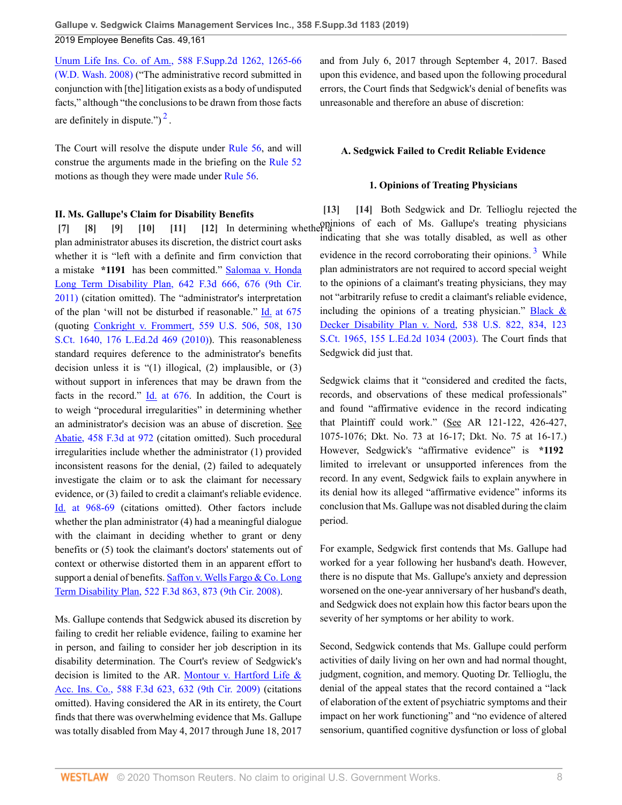[Unum Life Ins. Co. of Am., 588 F.Supp.2d 1262, 1265-66](http://www.westlaw.com/Link/Document/FullText?findType=Y&serNum=2017557949&pubNum=0004637&originatingDoc=I403126e030f311e98335c7ebe72735f9&refType=RP&fi=co_pp_sp_4637_1265&originationContext=document&vr=3.0&rs=cblt1.0&transitionType=DocumentItem&contextData=(sc.History*oc.Default)#co_pp_sp_4637_1265) [\(W.D. Wash. 2008\)](http://www.westlaw.com/Link/Document/FullText?findType=Y&serNum=2017557949&pubNum=0004637&originatingDoc=I403126e030f311e98335c7ebe72735f9&refType=RP&fi=co_pp_sp_4637_1265&originationContext=document&vr=3.0&rs=cblt1.0&transitionType=DocumentItem&contextData=(sc.History*oc.Default)#co_pp_sp_4637_1265) ("The administrative record submitted in conjunction with [the] litigation exists as a body of undisputed facts," although "the conclusions to be drawn from those facts are definitely in dispute." $)^2$  $)^2$ .

<span id="page-7-8"></span>The Court will resolve the dispute under [Rule 56,](http://www.westlaw.com/Link/Document/FullText?findType=L&pubNum=1000600&cite=USFRCPR56&originatingDoc=I403126e030f311e98335c7ebe72735f9&refType=LQ&originationContext=document&vr=3.0&rs=cblt1.0&transitionType=DocumentItem&contextData=(sc.History*oc.Default)) and will construe the arguments made in the briefing on the [Rule 52](http://www.westlaw.com/Link/Document/FullText?findType=L&pubNum=1000600&cite=USFRCPR52&originatingDoc=I403126e030f311e98335c7ebe72735f9&refType=LQ&originationContext=document&vr=3.0&rs=cblt1.0&transitionType=DocumentItem&contextData=(sc.History*oc.Default)) motions as though they were made under [Rule 56](http://www.westlaw.com/Link/Document/FullText?findType=L&pubNum=1000600&cite=USFRCPR56&originatingDoc=I403126e030f311e98335c7ebe72735f9&refType=LQ&originationContext=document&vr=3.0&rs=cblt1.0&transitionType=DocumentItem&contextData=(sc.History*oc.Default)).

#### **II. Ms. Gallupe's Claim for Disability Benefits**

plan administrator abuses its discretion, the district court asks whether it is "left with a definite and firm conviction that a mistake **\*1191** has been committed." [Salomaa v. Honda](http://www.westlaw.com/Link/Document/FullText?findType=Y&serNum=2025355366&pubNum=0000506&originatingDoc=I403126e030f311e98335c7ebe72735f9&refType=RP&fi=co_pp_sp_506_676&originationContext=document&vr=3.0&rs=cblt1.0&transitionType=DocumentItem&contextData=(sc.History*oc.Default)#co_pp_sp_506_676) [Long Term Disability Plan, 642 F.3d 666, 676 \(9th Cir.](http://www.westlaw.com/Link/Document/FullText?findType=Y&serNum=2025355366&pubNum=0000506&originatingDoc=I403126e030f311e98335c7ebe72735f9&refType=RP&fi=co_pp_sp_506_676&originationContext=document&vr=3.0&rs=cblt1.0&transitionType=DocumentItem&contextData=(sc.History*oc.Default)#co_pp_sp_506_676) [2011\)](http://www.westlaw.com/Link/Document/FullText?findType=Y&serNum=2025355366&pubNum=0000506&originatingDoc=I403126e030f311e98335c7ebe72735f9&refType=RP&fi=co_pp_sp_506_676&originationContext=document&vr=3.0&rs=cblt1.0&transitionType=DocumentItem&contextData=(sc.History*oc.Default)#co_pp_sp_506_676) (citation omitted). The "administrator's interpretation of the plan 'will not be disturbed if reasonable." [Id. at 675](http://www.westlaw.com/Link/Document/FullText?findType=Y&serNum=2025355366&pubNum=0000506&originatingDoc=I403126e030f311e98335c7ebe72735f9&refType=RP&fi=co_pp_sp_506_675&originationContext=document&vr=3.0&rs=cblt1.0&transitionType=DocumentItem&contextData=(sc.History*oc.Default)#co_pp_sp_506_675) (quoting [Conkright v. Frommert, 559 U.S. 506, 508, 130](http://www.westlaw.com/Link/Document/FullText?findType=Y&serNum=2021800382&pubNum=0000780&originatingDoc=I403126e030f311e98335c7ebe72735f9&refType=RP&fi=co_pp_sp_780_508&originationContext=document&vr=3.0&rs=cblt1.0&transitionType=DocumentItem&contextData=(sc.History*oc.Default)#co_pp_sp_780_508) [S.Ct. 1640, 176 L.Ed.2d 469 \(2010\)](http://www.westlaw.com/Link/Document/FullText?findType=Y&serNum=2021800382&pubNum=0000780&originatingDoc=I403126e030f311e98335c7ebe72735f9&refType=RP&fi=co_pp_sp_780_508&originationContext=document&vr=3.0&rs=cblt1.0&transitionType=DocumentItem&contextData=(sc.History*oc.Default)#co_pp_sp_780_508)). This reasonableness standard requires deference to the administrator's benefits decision unless it is "(1) illogical, (2) implausible, or (3) without support in inferences that may be drawn from the facts in the record."  $\underline{Id}$  at 676. In addition, the Court is to weigh "procedural irregularities" in determining whether an administrator's decision was an abuse of discretion. See [Abatie, 458 F.3d at 972](http://www.westlaw.com/Link/Document/FullText?findType=Y&serNum=2009728490&pubNum=0000506&originatingDoc=I403126e030f311e98335c7ebe72735f9&refType=RP&fi=co_pp_sp_506_972&originationContext=document&vr=3.0&rs=cblt1.0&transitionType=DocumentItem&contextData=(sc.History*oc.Default)#co_pp_sp_506_972) (citation omitted). Such procedural irregularities include whether the administrator (1) provided inconsistent reasons for the denial, (2) failed to adequately investigate the claim or to ask the claimant for necessary evidence, or (3) failed to credit a claimant's reliable evidence. [Id. at 968-69](http://www.westlaw.com/Link/Document/FullText?findType=Y&serNum=2009728490&pubNum=0000506&originatingDoc=I403126e030f311e98335c7ebe72735f9&refType=RP&fi=co_pp_sp_506_968&originationContext=document&vr=3.0&rs=cblt1.0&transitionType=DocumentItem&contextData=(sc.History*oc.Default)#co_pp_sp_506_968) (citations omitted). Other factors include whether the plan administrator (4) had a meaningful dialogue with the claimant in deciding whether to grant or deny benefits or (5) took the claimant's doctors' statements out of context or otherwise distorted them in an apparent effort to support a denial of benefits. [Saffon v. Wells Fargo & Co. Long](http://www.westlaw.com/Link/Document/FullText?findType=Y&serNum=2015801487&pubNum=0000506&originatingDoc=I403126e030f311e98335c7ebe72735f9&refType=RP&fi=co_pp_sp_506_873&originationContext=document&vr=3.0&rs=cblt1.0&transitionType=DocumentItem&contextData=(sc.History*oc.Default)#co_pp_sp_506_873) [Term Disability Plan, 522 F.3d 863, 873 \(9th Cir. 2008\).](http://www.westlaw.com/Link/Document/FullText?findType=Y&serNum=2015801487&pubNum=0000506&originatingDoc=I403126e030f311e98335c7ebe72735f9&refType=RP&fi=co_pp_sp_506_873&originationContext=document&vr=3.0&rs=cblt1.0&transitionType=DocumentItem&contextData=(sc.History*oc.Default)#co_pp_sp_506_873)

Ms. Gallupe contends that Sedgwick abused its discretion by failing to credit her reliable evidence, failing to examine her in person, and failing to consider her job description in its disability determination. The Court's review of Sedgwick's decision is limited to the AR. [Montour v. Hartford Life &](http://www.westlaw.com/Link/Document/FullText?findType=Y&serNum=2020444293&pubNum=0000506&originatingDoc=I403126e030f311e98335c7ebe72735f9&refType=RP&fi=co_pp_sp_506_632&originationContext=document&vr=3.0&rs=cblt1.0&transitionType=DocumentItem&contextData=(sc.History*oc.Default)#co_pp_sp_506_632) [Acc. Ins. Co., 588 F.3d 623, 632 \(9th Cir. 2009\)](http://www.westlaw.com/Link/Document/FullText?findType=Y&serNum=2020444293&pubNum=0000506&originatingDoc=I403126e030f311e98335c7ebe72735f9&refType=RP&fi=co_pp_sp_506_632&originationContext=document&vr=3.0&rs=cblt1.0&transitionType=DocumentItem&contextData=(sc.History*oc.Default)#co_pp_sp_506_632) (citations omitted). Having considered the AR in its entirety, the Court finds that there was overwhelming evidence that Ms. Gallupe was totally disabled from May 4, 2017 through June 18, 2017 and from July 6, 2017 through September 4, 2017. Based upon this evidence, and based upon the following procedural errors, the Court finds that Sedgwick's denial of benefits was unreasonable and therefore an abuse of discretion:

#### <span id="page-7-5"></span>**A. Sedgwick Failed to Credit Reliable Evidence**

#### <span id="page-7-9"></span><span id="page-7-7"></span><span id="page-7-6"></span>**1. Opinions of Treating Physicians**

<span id="page-7-4"></span><span id="page-7-3"></span><span id="page-7-2"></span><span id="page-7-1"></span><span id="page-7-0"></span>**[\[7\]](#page-1-2) [\[8\]](#page-1-3) [\[9\]](#page-1-4) [\[10\]](#page-1-5) [\[11](#page-1-6)] [\[12\]](#page-2-3)** In determining whether a opinions of each of Ms. Gallupe's treating physicians **[\[13\]](#page-2-0) [\[14\]](#page-2-4)** Both Sedgwick and Dr. Tellioglu rejected the indicating that she was totally disabled, as well as other evidence in the record corroborating their opinions.<sup>[3](#page-10-2)</sup> While plan administrators are not required to accord special weight to the opinions of a claimant's treating physicians, they may not "arbitrarily refuse to credit a claimant's reliable evidence, including the opinions of a treating physician." Black  $\&$ [Decker Disability Plan v. Nord, 538 U.S. 822, 834, 123](http://www.westlaw.com/Link/Document/FullText?findType=Y&serNum=2003378337&pubNum=0000780&originatingDoc=I403126e030f311e98335c7ebe72735f9&refType=RP&fi=co_pp_sp_780_834&originationContext=document&vr=3.0&rs=cblt1.0&transitionType=DocumentItem&contextData=(sc.History*oc.Default)#co_pp_sp_780_834) [S.Ct. 1965, 155 L.Ed.2d 1034 \(2003\).](http://www.westlaw.com/Link/Document/FullText?findType=Y&serNum=2003378337&pubNum=0000780&originatingDoc=I403126e030f311e98335c7ebe72735f9&refType=RP&fi=co_pp_sp_780_834&originationContext=document&vr=3.0&rs=cblt1.0&transitionType=DocumentItem&contextData=(sc.History*oc.Default)#co_pp_sp_780_834) The Court finds that Sedgwick did just that.

> Sedgwick claims that it "considered and credited the facts, records, and observations of these medical professionals" and found "affirmative evidence in the record indicating that Plaintiff could work." (See AR 121-122, 426-427, 1075-1076; Dkt. No. 73 at 16-17; Dkt. No. 75 at 16-17.) However, Sedgwick's "affirmative evidence" is **\*1192** limited to irrelevant or unsupported inferences from the record. In any event, Sedgwick fails to explain anywhere in its denial how its alleged "affirmative evidence" informs its conclusion that Ms. Gallupe was not disabled during the claim period.

> For example, Sedgwick first contends that Ms. Gallupe had worked for a year following her husband's death. However, there is no dispute that Ms. Gallupe's anxiety and depression worsened on the one-year anniversary of her husband's death, and Sedgwick does not explain how this factor bears upon the severity of her symptoms or her ability to work.

> Second, Sedgwick contends that Ms. Gallupe could perform activities of daily living on her own and had normal thought, judgment, cognition, and memory. Quoting Dr. Tellioglu, the denial of the appeal states that the record contained a "lack of elaboration of the extent of psychiatric symptoms and their impact on her work functioning" and "no evidence of altered sensorium, quantified cognitive dysfunction or loss of global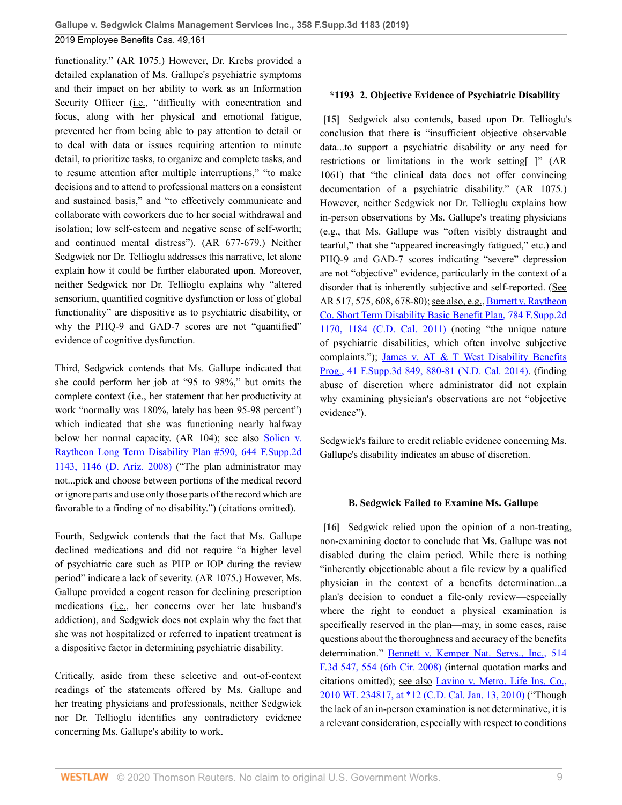functionality." (AR 1075.) However, Dr. Krebs provided a detailed explanation of Ms. Gallupe's psychiatric symptoms and their impact on her ability to work as an Information Security Officer (*i.e.*, "difficulty with concentration and focus, along with her physical and emotional fatigue, prevented her from being able to pay attention to detail or to deal with data or issues requiring attention to minute detail, to prioritize tasks, to organize and complete tasks, and to resume attention after multiple interruptions," "to make decisions and to attend to professional matters on a consistent and sustained basis," and "to effectively communicate and collaborate with coworkers due to her social withdrawal and isolation; low self-esteem and negative sense of self-worth; and continued mental distress"). (AR 677-679.) Neither Sedgwick nor Dr. Tellioglu addresses this narrative, let alone explain how it could be further elaborated upon. Moreover, neither Sedgwick nor Dr. Tellioglu explains why "altered sensorium, quantified cognitive dysfunction or loss of global functionality" are dispositive as to psychiatric disability, or why the PHQ-9 and GAD-7 scores are not "quantified" evidence of cognitive dysfunction.

Third, Sedgwick contends that Ms. Gallupe indicated that she could perform her job at "95 to 98%," but omits the complete context (i.e., her statement that her productivity at work "normally was 180%, lately has been 95-98 percent") which indicated that she was functioning nearly halfway below her normal capacity. (AR 104); see also [Solien v.](http://www.westlaw.com/Link/Document/FullText?findType=Y&serNum=2017675724&pubNum=0004637&originatingDoc=I403126e030f311e98335c7ebe72735f9&refType=RP&fi=co_pp_sp_4637_1146&originationContext=document&vr=3.0&rs=cblt1.0&transitionType=DocumentItem&contextData=(sc.History*oc.Default)#co_pp_sp_4637_1146) [Raytheon Long Term Disability Plan #590, 644 F.Supp.2d](http://www.westlaw.com/Link/Document/FullText?findType=Y&serNum=2017675724&pubNum=0004637&originatingDoc=I403126e030f311e98335c7ebe72735f9&refType=RP&fi=co_pp_sp_4637_1146&originationContext=document&vr=3.0&rs=cblt1.0&transitionType=DocumentItem&contextData=(sc.History*oc.Default)#co_pp_sp_4637_1146) [1143, 1146 \(D. Ariz. 2008\)](http://www.westlaw.com/Link/Document/FullText?findType=Y&serNum=2017675724&pubNum=0004637&originatingDoc=I403126e030f311e98335c7ebe72735f9&refType=RP&fi=co_pp_sp_4637_1146&originationContext=document&vr=3.0&rs=cblt1.0&transitionType=DocumentItem&contextData=(sc.History*oc.Default)#co_pp_sp_4637_1146) ("The plan administrator may not...pick and choose between portions of the medical record or ignore parts and use only those parts of the record which are favorable to a finding of no disability.") (citations omitted).

Fourth, Sedgwick contends that the fact that Ms. Gallupe declined medications and did not require "a higher level of psychiatric care such as PHP or IOP during the review period" indicate a lack of severity. (AR 1075.) However, Ms. Gallupe provided a cogent reason for declining prescription medications (i.e., her concerns over her late husband's addiction), and Sedgwick does not explain why the fact that she was not hospitalized or referred to inpatient treatment is a dispositive factor in determining psychiatric disability.

Critically, aside from these selective and out-of-context readings of the statements offered by Ms. Gallupe and her treating physicians and professionals, neither Sedgwick nor Dr. Tellioglu identifies any contradictory evidence concerning Ms. Gallupe's ability to work.

### <span id="page-8-0"></span>**\*1193 2. Objective Evidence of Psychiatric Disability**

**[\[15\]](#page-2-1)** Sedgwick also contends, based upon Dr. Tellioglu's conclusion that there is "insufficient objective observable data...to support a psychiatric disability or any need for restrictions or limitations in the work setting[ ]" (AR 1061) that "the clinical data does not offer convincing documentation of a psychiatric disability." (AR 1075.) However, neither Sedgwick nor Dr. Tellioglu explains how in-person observations by Ms. Gallupe's treating physicians (e.g., that Ms. Gallupe was "often visibly distraught and tearful," that she "appeared increasingly fatigued," etc.) and PHQ-9 and GAD-7 scores indicating "severe" depression are not "objective" evidence, particularly in the context of a disorder that is inherently subjective and self-reported. (See AR 517, 575, 608, 678-80); see also, e.g., [Burnett v. Raytheon](http://www.westlaw.com/Link/Document/FullText?findType=Y&serNum=2025074594&pubNum=0004637&originatingDoc=I403126e030f311e98335c7ebe72735f9&refType=RP&fi=co_pp_sp_4637_1184&originationContext=document&vr=3.0&rs=cblt1.0&transitionType=DocumentItem&contextData=(sc.History*oc.Default)#co_pp_sp_4637_1184) [Co. Short Term Disability Basic Benefit Plan, 784 F.Supp.2d](http://www.westlaw.com/Link/Document/FullText?findType=Y&serNum=2025074594&pubNum=0004637&originatingDoc=I403126e030f311e98335c7ebe72735f9&refType=RP&fi=co_pp_sp_4637_1184&originationContext=document&vr=3.0&rs=cblt1.0&transitionType=DocumentItem&contextData=(sc.History*oc.Default)#co_pp_sp_4637_1184) [1170, 1184 \(C.D. Cal. 2011\)](http://www.westlaw.com/Link/Document/FullText?findType=Y&serNum=2025074594&pubNum=0004637&originatingDoc=I403126e030f311e98335c7ebe72735f9&refType=RP&fi=co_pp_sp_4637_1184&originationContext=document&vr=3.0&rs=cblt1.0&transitionType=DocumentItem&contextData=(sc.History*oc.Default)#co_pp_sp_4637_1184) (noting "the unique nature of psychiatric disabilities, which often involve subjective complaints."); [James v. AT & T West Disability Benefits](http://www.westlaw.com/Link/Document/FullText?findType=Y&serNum=2033507635&pubNum=0007903&originatingDoc=I403126e030f311e98335c7ebe72735f9&refType=RP&fi=co_pp_sp_7903_880&originationContext=document&vr=3.0&rs=cblt1.0&transitionType=DocumentItem&contextData=(sc.History*oc.Default)#co_pp_sp_7903_880) [Prog., 41 F.Supp.3d 849, 880-81 \(N.D. Cal. 2014\)](http://www.westlaw.com/Link/Document/FullText?findType=Y&serNum=2033507635&pubNum=0007903&originatingDoc=I403126e030f311e98335c7ebe72735f9&refType=RP&fi=co_pp_sp_7903_880&originationContext=document&vr=3.0&rs=cblt1.0&transitionType=DocumentItem&contextData=(sc.History*oc.Default)#co_pp_sp_7903_880). (finding abuse of discretion where administrator did not explain why examining physician's observations are not "objective evidence").

Sedgwick's failure to credit reliable evidence concerning Ms. Gallupe's disability indicates an abuse of discretion.

#### <span id="page-8-1"></span>**B. Sedgwick Failed to Examine Ms. Gallupe**

**[\[16\]](#page-2-2)** Sedgwick relied upon the opinion of a non-treating, non-examining doctor to conclude that Ms. Gallupe was not disabled during the claim period. While there is nothing "inherently objectionable about a file review by a qualified physician in the context of a benefits determination...a plan's decision to conduct a file-only review—especially where the right to conduct a physical examination is specifically reserved in the plan—may, in some cases, raise questions about the thoroughness and accuracy of the benefits determination." [Bennett v. Kemper Nat. Servs., Inc., 514](http://www.westlaw.com/Link/Document/FullText?findType=Y&serNum=2014822582&pubNum=0000506&originatingDoc=I403126e030f311e98335c7ebe72735f9&refType=RP&fi=co_pp_sp_506_554&originationContext=document&vr=3.0&rs=cblt1.0&transitionType=DocumentItem&contextData=(sc.History*oc.Default)#co_pp_sp_506_554) [F.3d 547, 554 \(6th Cir. 2008\)](http://www.westlaw.com/Link/Document/FullText?findType=Y&serNum=2014822582&pubNum=0000506&originatingDoc=I403126e030f311e98335c7ebe72735f9&refType=RP&fi=co_pp_sp_506_554&originationContext=document&vr=3.0&rs=cblt1.0&transitionType=DocumentItem&contextData=(sc.History*oc.Default)#co_pp_sp_506_554) (internal quotation marks and citations omitted); see also [Lavino v. Metro. Life Ins. Co.,](http://www.westlaw.com/Link/Document/FullText?findType=Y&serNum=2021195408&pubNum=0000999&originatingDoc=I403126e030f311e98335c7ebe72735f9&refType=RP&originationContext=document&vr=3.0&rs=cblt1.0&transitionType=DocumentItem&contextData=(sc.History*oc.Default)) [2010 WL 234817, at \\*12 \(C.D. Cal. Jan. 13, 2010\)](http://www.westlaw.com/Link/Document/FullText?findType=Y&serNum=2021195408&pubNum=0000999&originatingDoc=I403126e030f311e98335c7ebe72735f9&refType=RP&originationContext=document&vr=3.0&rs=cblt1.0&transitionType=DocumentItem&contextData=(sc.History*oc.Default)) ("Though the lack of an in-person examination is not determinative, it is a relevant consideration, especially with respect to conditions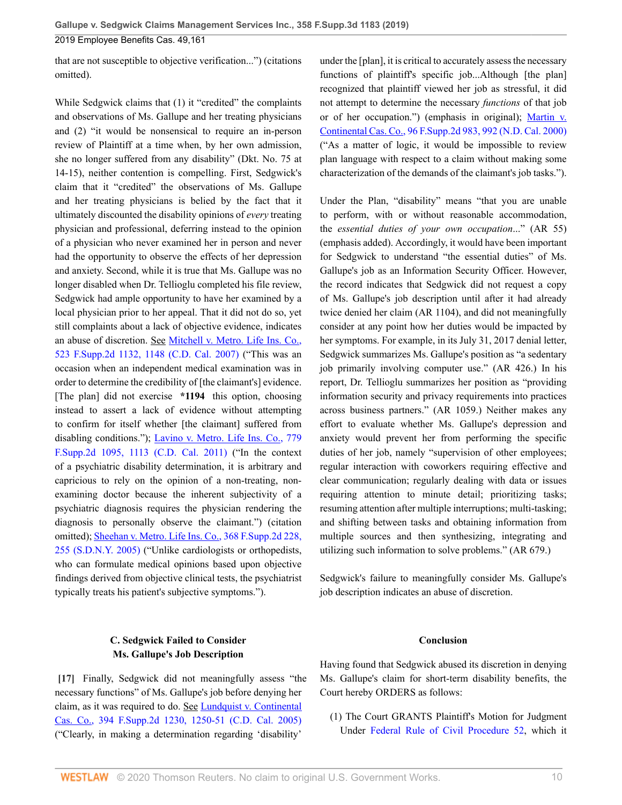that are not susceptible to objective verification...") (citations omitted).

While Sedgwick claims that (1) it "credited" the complaints and observations of Ms. Gallupe and her treating physicians and (2) "it would be nonsensical to require an in-person review of Plaintiff at a time when, by her own admission, she no longer suffered from any disability" (Dkt. No. 75 at 14-15), neither contention is compelling. First, Sedgwick's claim that it "credited" the observations of Ms. Gallupe and her treating physicians is belied by the fact that it ultimately discounted the disability opinions of *every* treating physician and professional, deferring instead to the opinion of a physician who never examined her in person and never had the opportunity to observe the effects of her depression and anxiety. Second, while it is true that Ms. Gallupe was no longer disabled when Dr. Tellioglu completed his file review, Sedgwick had ample opportunity to have her examined by a local physician prior to her appeal. That it did not do so, yet still complaints about a lack of objective evidence, indicates an abuse of discretion. See [Mitchell v. Metro. Life Ins. Co.,](http://www.westlaw.com/Link/Document/FullText?findType=Y&serNum=2014320521&pubNum=0004637&originatingDoc=I403126e030f311e98335c7ebe72735f9&refType=RP&fi=co_pp_sp_4637_1148&originationContext=document&vr=3.0&rs=cblt1.0&transitionType=DocumentItem&contextData=(sc.History*oc.Default)#co_pp_sp_4637_1148) [523 F.Supp.2d 1132, 1148 \(C.D. Cal. 2007\)](http://www.westlaw.com/Link/Document/FullText?findType=Y&serNum=2014320521&pubNum=0004637&originatingDoc=I403126e030f311e98335c7ebe72735f9&refType=RP&fi=co_pp_sp_4637_1148&originationContext=document&vr=3.0&rs=cblt1.0&transitionType=DocumentItem&contextData=(sc.History*oc.Default)#co_pp_sp_4637_1148) ("This was an occasion when an independent medical examination was in order to determine the credibility of [the claimant's] evidence. [The plan] did not exercise **\*1194** this option, choosing instead to assert a lack of evidence without attempting to confirm for itself whether [the claimant] suffered from disabling conditions."); [Lavino v. Metro. Life Ins. Co., 779](http://www.westlaw.com/Link/Document/FullText?findType=Y&serNum=2024445835&pubNum=0004637&originatingDoc=I403126e030f311e98335c7ebe72735f9&refType=RP&fi=co_pp_sp_4637_1113&originationContext=document&vr=3.0&rs=cblt1.0&transitionType=DocumentItem&contextData=(sc.History*oc.Default)#co_pp_sp_4637_1113) [F.Supp.2d 1095, 1113 \(C.D. Cal. 2011\)](http://www.westlaw.com/Link/Document/FullText?findType=Y&serNum=2024445835&pubNum=0004637&originatingDoc=I403126e030f311e98335c7ebe72735f9&refType=RP&fi=co_pp_sp_4637_1113&originationContext=document&vr=3.0&rs=cblt1.0&transitionType=DocumentItem&contextData=(sc.History*oc.Default)#co_pp_sp_4637_1113) ("In the context of a psychiatric disability determination, it is arbitrary and capricious to rely on the opinion of a non-treating, nonexamining doctor because the inherent subjectivity of a psychiatric diagnosis requires the physician rendering the diagnosis to personally observe the claimant.") (citation omitted); [Sheehan v. Metro. Life Ins. Co., 368 F.Supp.2d 228,](http://www.westlaw.com/Link/Document/FullText?findType=Y&serNum=2006361565&pubNum=0004637&originatingDoc=I403126e030f311e98335c7ebe72735f9&refType=RP&fi=co_pp_sp_4637_255&originationContext=document&vr=3.0&rs=cblt1.0&transitionType=DocumentItem&contextData=(sc.History*oc.Default)#co_pp_sp_4637_255) [255 \(S.D.N.Y. 2005\)](http://www.westlaw.com/Link/Document/FullText?findType=Y&serNum=2006361565&pubNum=0004637&originatingDoc=I403126e030f311e98335c7ebe72735f9&refType=RP&fi=co_pp_sp_4637_255&originationContext=document&vr=3.0&rs=cblt1.0&transitionType=DocumentItem&contextData=(sc.History*oc.Default)#co_pp_sp_4637_255) ("Unlike cardiologists or orthopedists, who can formulate medical opinions based upon objective findings derived from objective clinical tests, the psychiatrist typically treats his patient's subjective symptoms.").

## **C. Sedgwick Failed to Consider Ms. Gallupe's Job Description**

<span id="page-9-0"></span>**[\[17\]](#page-3-0)** Finally, Sedgwick did not meaningfully assess "the necessary functions" of Ms. Gallupe's job before denying her claim, as it was required to do. See [Lundquist v. Continental](http://www.westlaw.com/Link/Document/FullText?findType=Y&serNum=2007446401&pubNum=0004637&originatingDoc=I403126e030f311e98335c7ebe72735f9&refType=RP&fi=co_pp_sp_4637_1250&originationContext=document&vr=3.0&rs=cblt1.0&transitionType=DocumentItem&contextData=(sc.History*oc.Default)#co_pp_sp_4637_1250) [Cas. Co., 394 F.Supp.2d 1230, 1250-51 \(C.D. Cal. 2005\)](http://www.westlaw.com/Link/Document/FullText?findType=Y&serNum=2007446401&pubNum=0004637&originatingDoc=I403126e030f311e98335c7ebe72735f9&refType=RP&fi=co_pp_sp_4637_1250&originationContext=document&vr=3.0&rs=cblt1.0&transitionType=DocumentItem&contextData=(sc.History*oc.Default)#co_pp_sp_4637_1250) ("Clearly, in making a determination regarding 'disability'

under the [plan], it is critical to accurately assess the necessary functions of plaintiff's specific job...Although [the plan] recognized that plaintiff viewed her job as stressful, it did not attempt to determine the necessary *functions* of that job or of her occupation.") (emphasis in original); [Martin v.](http://www.westlaw.com/Link/Document/FullText?findType=Y&serNum=2000109984&pubNum=0004637&originatingDoc=I403126e030f311e98335c7ebe72735f9&refType=RP&fi=co_pp_sp_4637_992&originationContext=document&vr=3.0&rs=cblt1.0&transitionType=DocumentItem&contextData=(sc.History*oc.Default)#co_pp_sp_4637_992) [Continental Cas. Co., 96 F.Supp.2d 983, 992 \(N.D. Cal. 2000\)](http://www.westlaw.com/Link/Document/FullText?findType=Y&serNum=2000109984&pubNum=0004637&originatingDoc=I403126e030f311e98335c7ebe72735f9&refType=RP&fi=co_pp_sp_4637_992&originationContext=document&vr=3.0&rs=cblt1.0&transitionType=DocumentItem&contextData=(sc.History*oc.Default)#co_pp_sp_4637_992) ("As a matter of logic, it would be impossible to review plan language with respect to a claim without making some characterization of the demands of the claimant's job tasks.").

Under the Plan, "disability" means "that you are unable to perform, with or without reasonable accommodation, the *essential duties of your own occupation*..." (AR 55) (emphasis added). Accordingly, it would have been important for Sedgwick to understand "the essential duties" of Ms. Gallupe's job as an Information Security Officer. However, the record indicates that Sedgwick did not request a copy of Ms. Gallupe's job description until after it had already twice denied her claim (AR 1104), and did not meaningfully consider at any point how her duties would be impacted by her symptoms. For example, in its July 31, 2017 denial letter, Sedgwick summarizes Ms. Gallupe's position as "a sedentary job primarily involving computer use." (AR 426.) In his report, Dr. Tellioglu summarizes her position as "providing information security and privacy requirements into practices across business partners." (AR 1059.) Neither makes any effort to evaluate whether Ms. Gallupe's depression and anxiety would prevent her from performing the specific duties of her job, namely "supervision of other employees; regular interaction with coworkers requiring effective and clear communication; regularly dealing with data or issues requiring attention to minute detail; prioritizing tasks; resuming attention after multiple interruptions; multi-tasking; and shifting between tasks and obtaining information from multiple sources and then synthesizing, integrating and utilizing such information to solve problems." (AR 679.)

Sedgwick's failure to meaningfully consider Ms. Gallupe's job description indicates an abuse of discretion.

### **Conclusion**

Having found that Sedgwick abused its discretion in denying Ms. Gallupe's claim for short-term disability benefits, the Court hereby ORDERS as follows:

(1) The Court GRANTS Plaintiff's Motion for Judgment Under [Federal Rule of Civil Procedure 52](http://www.westlaw.com/Link/Document/FullText?findType=L&pubNum=1000600&cite=USFRCPR52&originatingDoc=I403126e030f311e98335c7ebe72735f9&refType=LQ&originationContext=document&vr=3.0&rs=cblt1.0&transitionType=DocumentItem&contextData=(sc.History*oc.Default)), which it